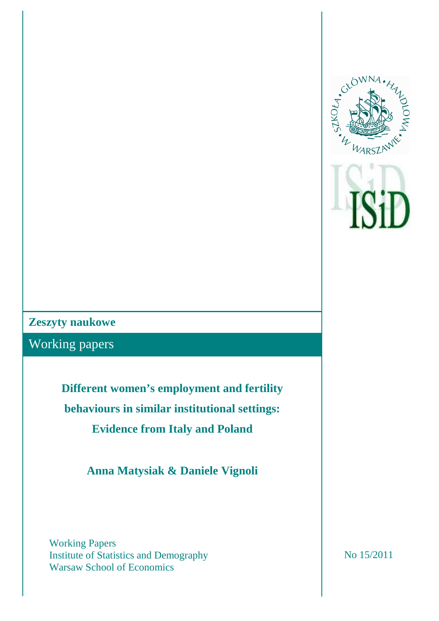

## **Zeszyty naukowe**

Working papers

**Different women's employment and fertility behaviours in similar institutional settings: Evidence from Italy and Poland** 

**Anna Matysiak & Daniele Vignoli** 

Working Papers Institute of Statistics and Demography Warsaw School of Economics

No 15/2011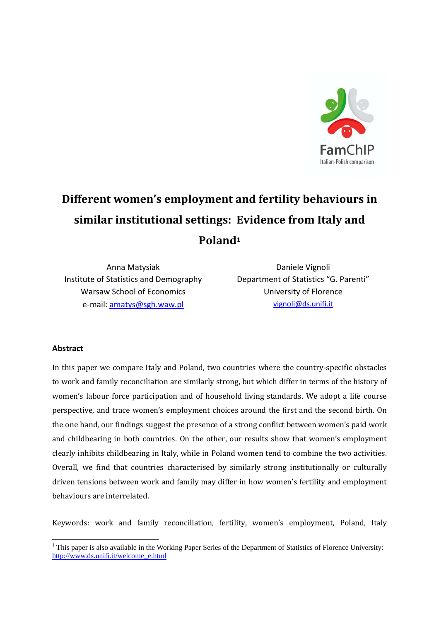

# Different women's employment and fertility behaviours in similar institutional settings: Evidence from Italy and Poland<sup>1</sup>

Anna Matysiak Institute of Statistics and Demography Warsaw School of Economics e-mail: amatys@sgh.waw.pl

Daniele Vignoli Department of Statistics "G. Parenti" University of Florence vignoli@ds.unifi.it

#### Abstract

 $\overline{a}$ 

In this paper we compare Italy and Poland, two countries where the country-specific obstacles to work and family reconciliation are similarly strong, but which differ in terms of the history of women's labour force participation and of household living standards. We adopt a life course perspective, and trace women's employment choices around the first and the second birth. On the one hand, our findings suggest the presence of a strong conflict between women's paid work and childbearing in both countries. On the other, our results show that women's employment clearly inhibits childbearing in Italy, while in Poland women tend to combine the two activities. Overall, we find that countries characterised by similarly strong institutionally or culturally driven tensions between work and family may differ in how women's fertility and employment behaviours are interrelated.

Keywords: work and family reconciliation, fertility, women's employment, Poland, Italy

<sup>&</sup>lt;sup>1</sup> This paper is also available in the Working Paper Series of the Department of Statistics of Florence University: http://www.ds.unifi.it/welcome\_e.html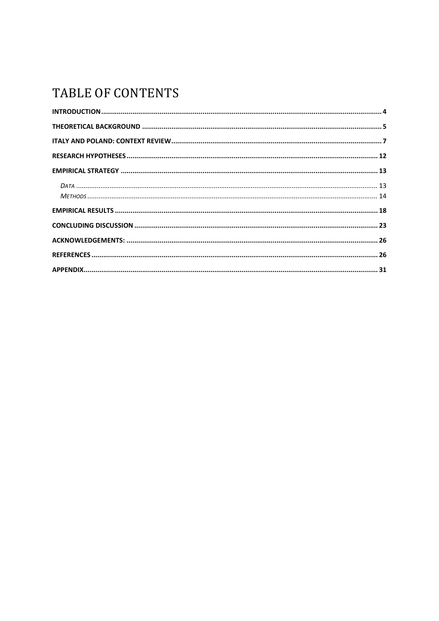# TABLE OF CONTENTS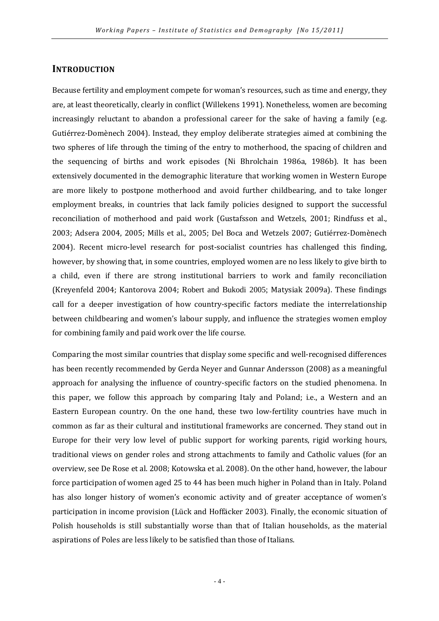#### **INTRODUCTION**

Because fertility and employment compete for woman's resources, such as time and energy, they are, at least theoretically, clearly in conflict (Willekens 1991). Nonetheless, women are becoming increasingly reluctant to abandon a professional career for the sake of having a family (e.g. Gutiérrez-Domènech 2004). Instead, they employ deliberate strategies aimed at combining the two spheres of life through the timing of the entry to motherhood, the spacing of children and the sequencing of births and work episodes (Ni Bhrolchain 1986a, 1986b). It has been extensively documented in the demographic literature that working women in Western Europe are more likely to postpone motherhood and avoid further childbearing, and to take longer employment breaks, in countries that lack family policies designed to support the successful reconciliation of motherhood and paid work (Gustafsson and Wetzels, 2001; Rindfuss et al., 2003; Adsera 2004, 2005; Mills et al., 2005; Del Boca and Wetzels 2007; Gutiérrez-Domènech 2004). Recent micro-level research for post-socialist countries has challenged this finding, however, by showing that, in some countries, employed women are no less likely to give birth to a child, even if there are strong institutional barriers to work and family reconciliation (Kreyenfeld 2004; Kantorova 2004; Robert and Bukodi 2005; Matysiak 2009a). These findings call for a deeper investigation of how country-specific factors mediate the interrelationship between childbearing and women's labour supply, and influence the strategies women employ for combining family and paid work over the life course.

Comparing the most similar countries that display some specific and well-recognised differences has been recently recommended by Gerda Neyer and Gunnar Andersson (2008) as a meaningful approach for analysing the influence of country-specific factors on the studied phenomena. In this paper, we follow this approach by comparing Italy and Poland; i.e., a Western and an Eastern European country. On the one hand, these two low-fertility countries have much in common as far as their cultural and institutional frameworks are concerned. They stand out in Europe for their very low level of public support for working parents, rigid working hours, traditional views on gender roles and strong attachments to family and Catholic values (for an overview, see De Rose et al. 2008; Kotowska et al. 2008). On the other hand, however, the labour force participation of women aged 25 to 44 has been much higher in Poland than in Italy. Poland has also longer history of women's economic activity and of greater acceptance of women's participation in income provision (Lück and Hoffäcker 2003). Finally, the economic situation of Polish households is still substantially worse than that of Italian households, as the material aspirations of Poles are less likely to be satisfied than those of Italians.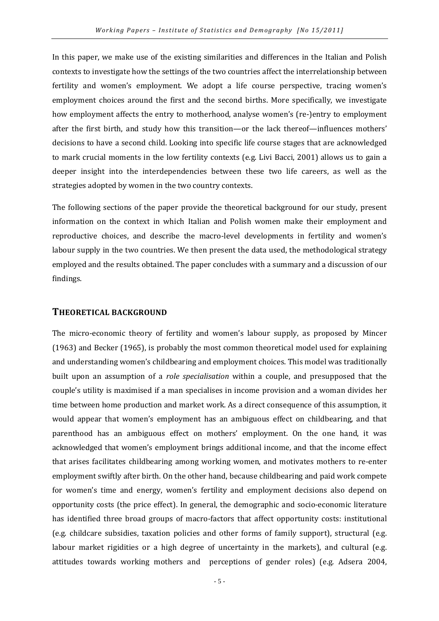In this paper, we make use of the existing similarities and differences in the Italian and Polish contexts to investigate how the settings of the two countries affect the interrelationship between fertility and women's employment. We adopt a life course perspective, tracing women's employment choices around the first and the second births. More specifically, we investigate how employment affects the entry to motherhood, analyse women's (re-)entry to employment after the first birth, and study how this transition—or the lack thereof—influences mothers' decisions to have a second child. Looking into specific life course stages that are acknowledged to mark crucial moments in the low fertility contexts (e.g. Livi Bacci, 2001) allows us to gain a deeper insight into the interdependencies between these two life careers, as well as the strategies adopted by women in the two country contexts.

The following sections of the paper provide the theoretical background for our study, present information on the context in which Italian and Polish women make their employment and reproductive choices, and describe the macro-level developments in fertility and women's labour supply in the two countries. We then present the data used, the methodological strategy employed and the results obtained. The paper concludes with a summary and a discussion of our findings.

#### THEORETICAL BACKGROUND

The micro-economic theory of fertility and women's labour supply, as proposed by Mincer (1963) and Becker (1965), is probably the most common theoretical model used for explaining and understanding women's childbearing and employment choices. This model was traditionally built upon an assumption of a role specialisation within a couple, and presupposed that the couple's utility is maximised if a man specialises in income provision and a woman divides her time between home production and market work. As a direct consequence of this assumption, it would appear that women's employment has an ambiguous effect on childbearing, and that parenthood has an ambiguous effect on mothers' employment. On the one hand, it was acknowledged that women's employment brings additional income, and that the income effect that arises facilitates childbearing among working women, and motivates mothers to re-enter employment swiftly after birth. On the other hand, because childbearing and paid work compete for women's time and energy, women's fertility and employment decisions also depend on opportunity costs (the price effect). In general, the demographic and socio-economic literature has identified three broad groups of macro-factors that affect opportunity costs: institutional (e.g. childcare subsidies, taxation policies and other forms of family support), structural (e.g. labour market rigidities or a high degree of uncertainty in the markets), and cultural (e.g. attitudes towards working mothers and perceptions of gender roles) (e.g. Adsera 2004,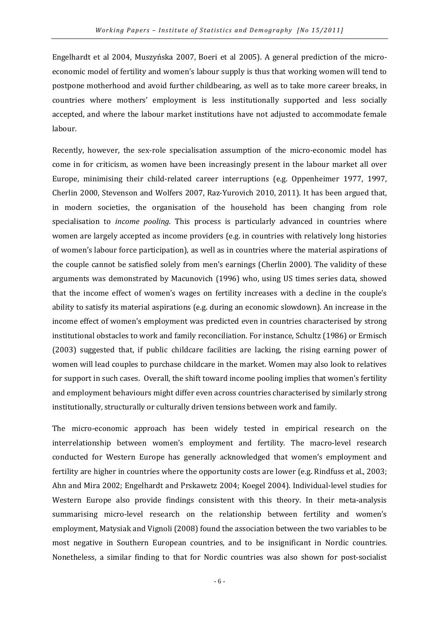Engelhardt et al 2004, Muszyńska 2007, Boeri et al 2005). A general prediction of the microeconomic model of fertility and women's labour supply is thus that working women will tend to postpone motherhood and avoid further childbearing, as well as to take more career breaks, in countries where mothers' employment is less institutionally supported and less socially accepted, and where the labour market institutions have not adjusted to accommodate female labour.

Recently, however, the sex-role specialisation assumption of the micro-economic model has come in for criticism, as women have been increasingly present in the labour market all over Europe, minimising their child-related career interruptions (e.g. Oppenheimer 1977, 1997, Cherlin 2000, Stevenson and Wolfers 2007, Raz-Yurovich 2010, 2011). It has been argued that, in modern societies, the organisation of the household has been changing from role specialisation to *income pooling*. This process is particularly advanced in countries where women are largely accepted as income providers (e.g. in countries with relatively long histories of women's labour force participation), as well as in countries where the material aspirations of the couple cannot be satisfied solely from men's earnings (Cherlin 2000). The validity of these arguments was demonstrated by Macunovich (1996) who, using US times series data, showed that the income effect of women's wages on fertility increases with a decline in the couple's ability to satisfy its material aspirations (e.g. during an economic slowdown). An increase in the income effect of women's employment was predicted even in countries characterised by strong institutional obstacles to work and family reconciliation. For instance, Schultz (1986) or Ermisch (2003) suggested that, if public childcare facilities are lacking, the rising earning power of women will lead couples to purchase childcare in the market. Women may also look to relatives for support in such cases. Overall, the shift toward income pooling implies that women's fertility and employment behaviours might differ even across countries characterised by similarly strong institutionally, structurally or culturally driven tensions between work and family.

The micro-economic approach has been widely tested in empirical research on the interrelationship between women's employment and fertility. The macro-level research conducted for Western Europe has generally acknowledged that women's employment and fertility are higher in countries where the opportunity costs are lower (e.g. Rindfuss et al., 2003; Ahn and Mira 2002; Engelhardt and Prskawetz 2004; Koegel 2004). Individual-level studies for Western Europe also provide findings consistent with this theory. In their meta-analysis summarising micro-level research on the relationship between fertility and women's employment, Matysiak and Vignoli (2008) found the association between the two variables to be most negative in Southern European countries, and to be insignificant in Nordic countries. Nonetheless, a similar finding to that for Nordic countries was also shown for post-socialist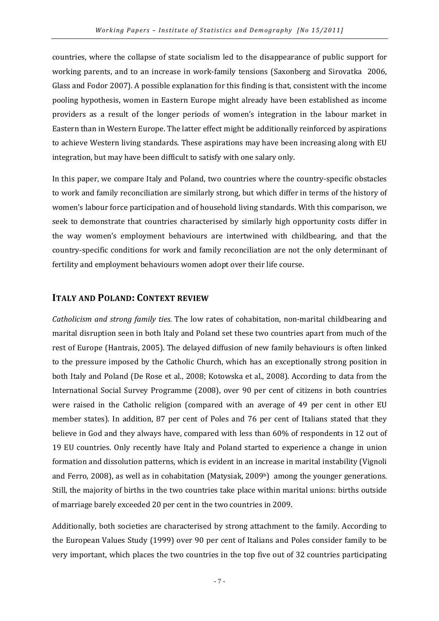countries, where the collapse of state socialism led to the disappearance of public support for working parents, and to an increase in work-family tensions (Saxonberg and Sirovatka 2006, Glass and Fodor 2007). A possible explanation for this finding is that, consistent with the income pooling hypothesis, women in Eastern Europe might already have been established as income providers as a result of the longer periods of women's integration in the labour market in Eastern than in Western Europe. The latter effect might be additionally reinforced by aspirations to achieve Western living standards. These aspirations may have been increasing along with EU integration, but may have been difficult to satisfy with one salary only.

In this paper, we compare Italy and Poland, two countries where the country-specific obstacles to work and family reconciliation are similarly strong, but which differ in terms of the history of women's labour force participation and of household living standards. With this comparison, we seek to demonstrate that countries characterised by similarly high opportunity costs differ in the way women's employment behaviours are intertwined with childbearing, and that the country-specific conditions for work and family reconciliation are not the only determinant of fertility and employment behaviours women adopt over their life course.

#### ITALY AND POLAND: CONTEXT REVIEW

Catholicism and strong family ties. The low rates of cohabitation, non-marital childbearing and marital disruption seen in both Italy and Poland set these two countries apart from much of the rest of Europe (Hantrais, 2005). The delayed diffusion of new family behaviours is often linked to the pressure imposed by the Catholic Church, which has an exceptionally strong position in both Italy and Poland (De Rose et al., 2008; Kotowska et al., 2008). According to data from the International Social Survey Programme (2008), over 90 per cent of citizens in both countries were raised in the Catholic religion (compared with an average of 49 per cent in other EU member states). In addition, 87 per cent of Poles and 76 per cent of Italians stated that they believe in God and they always have, compared with less than 60% of respondents in 12 out of 19 EU countries. Only recently have Italy and Poland started to experience a change in union formation and dissolution patterns, which is evident in an increase in marital instability (Vignoli and Ferro, 2008), as well as in cohabitation (Matysiak, 2009b) among the younger generations. Still, the majority of births in the two countries take place within marital unions: births outside of marriage barely exceeded 20 per cent in the two countries in 2009.

Additionally, both societies are characterised by strong attachment to the family. According to the European Values Study (1999) over 90 per cent of Italians and Poles consider family to be very important, which places the two countries in the top five out of 32 countries participating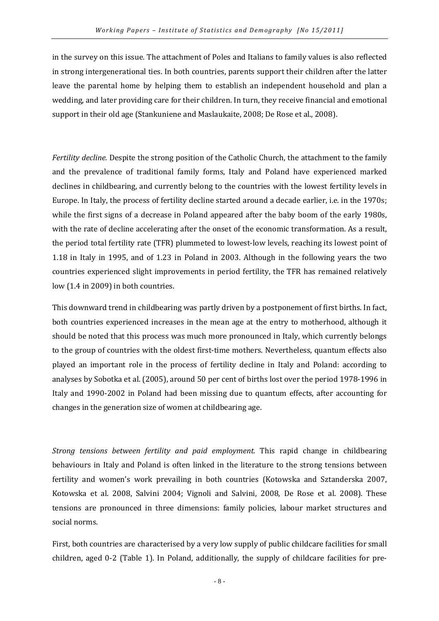in the survey on this issue. The attachment of Poles and Italians to family values is also reflected in strong intergenerational ties. In both countries, parents support their children after the latter leave the parental home by helping them to establish an independent household and plan a wedding, and later providing care for their children. In turn, they receive financial and emotional support in their old age (Stankuniene and Maslaukaite, 2008; De Rose et al., 2008).

Fertility decline. Despite the strong position of the Catholic Church, the attachment to the family and the prevalence of traditional family forms, Italy and Poland have experienced marked declines in childbearing, and currently belong to the countries with the lowest fertility levels in Europe. In Italy, the process of fertility decline started around a decade earlier, i.e. in the 1970s; while the first signs of a decrease in Poland appeared after the baby boom of the early 1980s, with the rate of decline accelerating after the onset of the economic transformation. As a result, the period total fertility rate (TFR) plummeted to lowest-low levels, reaching its lowest point of 1.18 in Italy in 1995, and of 1.23 in Poland in 2003. Although in the following years the two countries experienced slight improvements in period fertility, the TFR has remained relatively low (1.4 in 2009) in both countries.

This downward trend in childbearing was partly driven by a postponement of first births. In fact, both countries experienced increases in the mean age at the entry to motherhood, although it should be noted that this process was much more pronounced in Italy, which currently belongs to the group of countries with the oldest first-time mothers. Nevertheless, quantum effects also played an important role in the process of fertility decline in Italy and Poland: according to analyses by Sobotka et al. (2005), around 50 per cent of births lost over the period 1978-1996 in Italy and 1990-2002 in Poland had been missing due to quantum effects, after accounting for changes in the generation size of women at childbearing age.

Strong tensions between fertility and paid employment. This rapid change in childbearing behaviours in Italy and Poland is often linked in the literature to the strong tensions between fertility and women's work prevailing in both countries (Kotowska and Sztanderska 2007, Kotowska et al. 2008, Salvini 2004; Vignoli and Salvini, 2008, De Rose et al. 2008). These tensions are pronounced in three dimensions: family policies, labour market structures and social norms.

First, both countries are characterised by a very low supply of public childcare facilities for small children, aged 0-2 (Table 1). In Poland, additionally, the supply of childcare facilities for pre-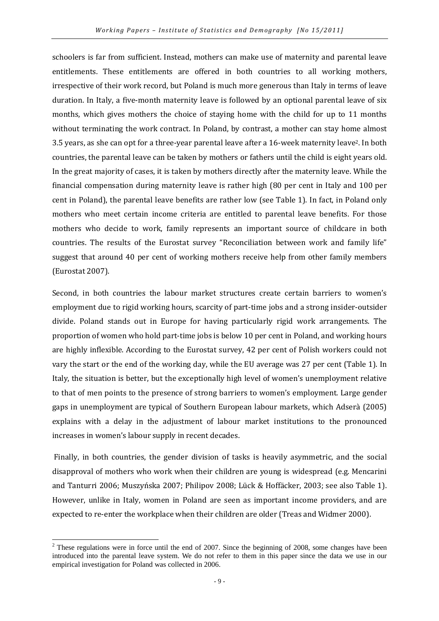schoolers is far from sufficient. Instead, mothers can make use of maternity and parental leave entitlements. These entitlements are offered in both countries to all working mothers, irrespective of their work record, but Poland is much more generous than Italy in terms of leave duration. In Italy, a five-month maternity leave is followed by an optional parental leave of six months, which gives mothers the choice of staying home with the child for up to 11 months without terminating the work contract. In Poland, by contrast, a mother can stay home almost 3.5 years, as she can opt for a three-year parental leave after a 16-week maternity leave2. In both countries, the parental leave can be taken by mothers or fathers until the child is eight years old. In the great majority of cases, it is taken by mothers directly after the maternity leave. While the financial compensation during maternity leave is rather high (80 per cent in Italy and 100 per cent in Poland), the parental leave benefits are rather low (see Table 1). In fact, in Poland only mothers who meet certain income criteria are entitled to parental leave benefits. For those mothers who decide to work, family represents an important source of childcare in both countries. The results of the Eurostat survey "Reconciliation between work and family life" suggest that around 40 per cent of working mothers receive help from other family members (Eurostat 2007).

Second, in both countries the labour market structures create certain barriers to women's employment due to rigid working hours, scarcity of part-time jobs and a strong insider-outsider divide. Poland stands out in Europe for having particularly rigid work arrangements. The proportion of women who hold part-time jobs is below 10 per cent in Poland, and working hours are highly inflexible. According to the Eurostat survey, 42 per cent of Polish workers could not vary the start or the end of the working day, while the EU average was 27 per cent (Table 1). In Italy, the situation is better, but the exceptionally high level of women's unemployment relative to that of men points to the presence of strong barriers to women's employment. Large gender gaps in unemployment are typical of Southern European labour markets, which Adserà (2005) explains with a delay in the adjustment of labour market institutions to the pronounced increases in women's labour supply in recent decades.

 Finally, in both countries, the gender division of tasks is heavily asymmetric, and the social disapproval of mothers who work when their children are young is widespread (e.g. Mencarini and Tanturri 2006; Muszyńska 2007; Philipov 2008; Lück & Hoffäcker, 2003; see also Table 1). However, unlike in Italy, women in Poland are seen as important income providers, and are expected to re-enter the workplace when their children are older (Treas and Widmer 2000).

<sup>&</sup>lt;sup>2</sup> These regulations were in force until the end of 2007. Since the beginning of 2008, some changes have been introduced into the parental leave system. We do not refer to them in this paper since the data we use in our empirical investigation for Poland was collected in 2006.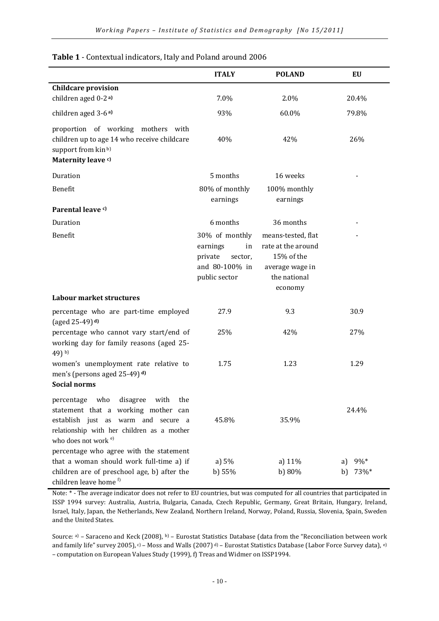|                                                                                                                                                                                                             | <b>ITALY</b>                                                                              | <b>POLAND</b>                                                                                        | EU                      |
|-------------------------------------------------------------------------------------------------------------------------------------------------------------------------------------------------------------|-------------------------------------------------------------------------------------------|------------------------------------------------------------------------------------------------------|-------------------------|
| <b>Childcare provision</b>                                                                                                                                                                                  |                                                                                           |                                                                                                      |                         |
| children aged 0-2 a)                                                                                                                                                                                        | 7.0%                                                                                      | 2.0%                                                                                                 | 20.4%                   |
| children aged 3-6 <sup>a)</sup>                                                                                                                                                                             | 93%                                                                                       | 60.0%                                                                                                | 79.8%                   |
| proportion of working mothers with<br>children up to age 14 who receive childcare<br>support from kin <sup>b)</sup><br>Maternity leave c)                                                                   | 40%                                                                                       | 42%                                                                                                  | 26%                     |
| Duration                                                                                                                                                                                                    | 5 months                                                                                  | 16 weeks                                                                                             |                         |
| Benefit                                                                                                                                                                                                     | 80% of monthly<br>earnings                                                                | 100% monthly<br>earnings                                                                             |                         |
| Parental leave c)                                                                                                                                                                                           |                                                                                           |                                                                                                      |                         |
| Duration                                                                                                                                                                                                    | 6 months                                                                                  | 36 months                                                                                            |                         |
| Benefit                                                                                                                                                                                                     | 30% of monthly<br>earnings<br>in<br>private<br>sector,<br>and 80-100% in<br>public sector | means-tested, flat<br>rate at the around<br>15% of the<br>average wage in<br>the national<br>economy |                         |
| Labour market structures                                                                                                                                                                                    |                                                                                           |                                                                                                      |                         |
| percentage who are part-time employed<br>(aged 25-49) $d$ )                                                                                                                                                 | 27.9                                                                                      | 9.3                                                                                                  | 30.9                    |
| percentage who cannot vary start/end of<br>working day for family reasons (aged 25-<br>49) b)                                                                                                               | 25%                                                                                       | 42%                                                                                                  | 27%                     |
| women's unemployment rate relative to<br>men's (persons aged 25-49) d)<br><b>Social norms</b>                                                                                                               | 1.75                                                                                      | 1.23                                                                                                 | 1.29                    |
| who<br>disagree<br>percentage<br>with<br>the<br>statement that a working mother can<br>establish just as warm and secure a<br>relationship with her children as a mother<br>who does not work <sup>e)</sup> | 45.8%                                                                                     | 35.9%                                                                                                | 24.4%                   |
| percentage who agree with the statement<br>that a woman should work full-time a) if<br>children are of preschool age, b) after the<br>children leave home <sup>f)</sup>                                     | a) 5%<br>b) 55%                                                                           | a) 11%<br>b) 80%                                                                                     | 9%*<br>a)<br>73%*<br>b) |

Table 1 - Contextual indicators, Italy and Poland around 2006

Note: \* - The average indicator does not refer to EU countries, but was computed for all countries that participated in ISSP 1994 survey: Australia, Austria, Bulgaria, Canada, Czech Republic, Germany, Great Britain, Hungary, Ireland, Israel, Italy, Japan, the Netherlands, New Zealand, Northern Ireland, Norway, Poland, Russia, Slovenia, Spain, Sweden and the United States.

Source: a) – Saraceno and Keck (2008), b) – Eurostat Statistics Database (data from the "Reconciliation between work and family life" survey 2005), c) – Moss and Walls (2007) d) – Eurostat Statistics Database (Labor Force Survey data), e) – computation on European Values Study (1999), f) Treas and Widmer on ISSP1994.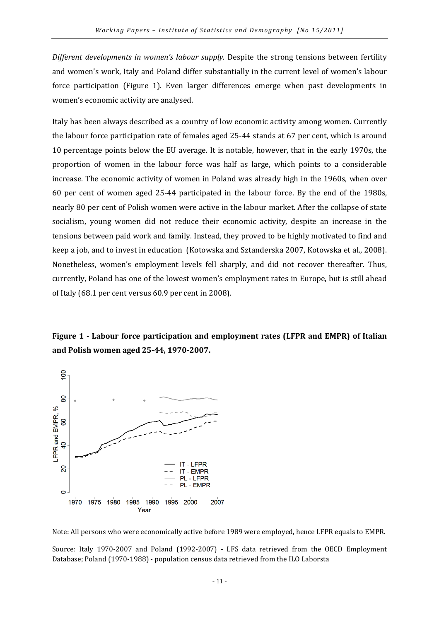Different developments in women's labour supply. Despite the strong tensions between fertility and women's work, Italy and Poland differ substantially in the current level of women's labour force participation (Figure 1). Even larger differences emerge when past developments in women's economic activity are analysed.

Italy has been always described as a country of low economic activity among women. Currently the labour force participation rate of females aged 25-44 stands at 67 per cent, which is around 10 percentage points below the EU average. It is notable, however, that in the early 1970s, the proportion of women in the labour force was half as large, which points to a considerable increase. The economic activity of women in Poland was already high in the 1960s, when over 60 per cent of women aged 25-44 participated in the labour force. By the end of the 1980s, nearly 80 per cent of Polish women were active in the labour market. After the collapse of state socialism, young women did not reduce their economic activity, despite an increase in the tensions between paid work and family. Instead, they proved to be highly motivated to find and keep a job, and to invest in education (Kotowska and Sztanderska 2007, Kotowska et al., 2008). Nonetheless, women's employment levels fell sharply, and did not recover thereafter. Thus, currently, Poland has one of the lowest women's employment rates in Europe, but is still ahead of Italy (68.1 per cent versus 60.9 per cent in 2008).

### Figure 1 - Labour force participation and employment rates (LFPR and EMPR) of Italian and Polish women aged 25-44, 1970-2007.



Note: All persons who were economically active before 1989 were employed, hence LFPR equals to EMPR.

Source: Italy 1970-2007 and Poland (1992-2007) - LFS data retrieved from the OECD Employment Database; Poland (1970-1988) - population census data retrieved from the ILO Laborsta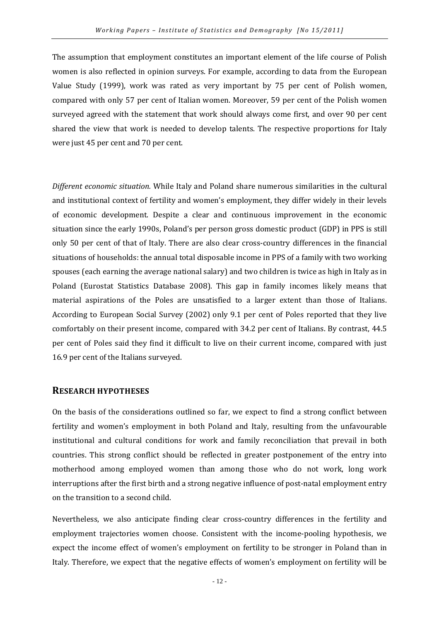The assumption that employment constitutes an important element of the life course of Polish women is also reflected in opinion surveys. For example, according to data from the European Value Study (1999), work was rated as very important by 75 per cent of Polish women, compared with only 57 per cent of Italian women. Moreover, 59 per cent of the Polish women surveyed agreed with the statement that work should always come first, and over 90 per cent shared the view that work is needed to develop talents. The respective proportions for Italy were just 45 per cent and 70 per cent.

Different economic situation. While Italy and Poland share numerous similarities in the cultural and institutional context of fertility and women's employment, they differ widely in their levels of economic development. Despite a clear and continuous improvement in the economic situation since the early 1990s, Poland's per person gross domestic product (GDP) in PPS is still only 50 per cent of that of Italy. There are also clear cross-country differences in the financial situations of households: the annual total disposable income in PPS of a family with two working spouses (each earning the average national salary) and two children is twice as high in Italy as in Poland (Eurostat Statistics Database 2008). This gap in family incomes likely means that material aspirations of the Poles are unsatisfied to a larger extent than those of Italians. According to European Social Survey (2002) only 9.1 per cent of Poles reported that they live comfortably on their present income, compared with 34.2 per cent of Italians. By contrast, 44.5 per cent of Poles said they find it difficult to live on their current income, compared with just 16.9 per cent of the Italians surveyed.

#### RESEARCH HYPOTHESES

On the basis of the considerations outlined so far, we expect to find a strong conflict between fertility and women's employment in both Poland and Italy, resulting from the unfavourable institutional and cultural conditions for work and family reconciliation that prevail in both countries. This strong conflict should be reflected in greater postponement of the entry into motherhood among employed women than among those who do not work, long work interruptions after the first birth and a strong negative influence of post-natal employment entry on the transition to a second child.

Nevertheless, we also anticipate finding clear cross-country differences in the fertility and employment trajectories women choose. Consistent with the income-pooling hypothesis, we expect the income effect of women's employment on fertility to be stronger in Poland than in Italy. Therefore, we expect that the negative effects of women's employment on fertility will be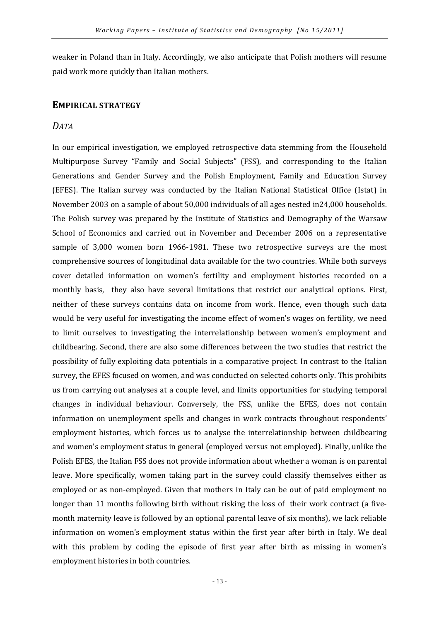weaker in Poland than in Italy. Accordingly, we also anticipate that Polish mothers will resume paid work more quickly than Italian mothers.

#### EMPIRICAL STRATEGY

#### DATA

In our empirical investigation, we employed retrospective data stemming from the Household Multipurpose Survey "Family and Social Subjects" (FSS), and corresponding to the Italian Generations and Gender Survey and the Polish Employment, Family and Education Survey (EFES). The Italian survey was conducted by the Italian National Statistical Office (Istat) in November 2003 on a sample of about 50,000 individuals of all ages nested in24,000 households. The Polish survey was prepared by the Institute of Statistics and Demography of the Warsaw School of Economics and carried out in November and December 2006 on a representative sample of 3,000 women born 1966-1981. These two retrospective surveys are the most comprehensive sources of longitudinal data available for the two countries. While both surveys cover detailed information on women's fertility and employment histories recorded on a monthly basis, they also have several limitations that restrict our analytical options. First, neither of these surveys contains data on income from work. Hence, even though such data would be very useful for investigating the income effect of women's wages on fertility, we need to limit ourselves to investigating the interrelationship between women's employment and childbearing. Second, there are also some differences between the two studies that restrict the possibility of fully exploiting data potentials in a comparative project. In contrast to the Italian survey, the EFES focused on women, and was conducted on selected cohorts only. This prohibits us from carrying out analyses at a couple level, and limits opportunities for studying temporal changes in individual behaviour. Conversely, the FSS, unlike the EFES, does not contain information on unemployment spells and changes in work contracts throughout respondents' employment histories, which forces us to analyse the interrelationship between childbearing and women's employment status in general (employed versus not employed). Finally, unlike the Polish EFES, the Italian FSS does not provide information about whether a woman is on parental leave. More specifically, women taking part in the survey could classify themselves either as employed or as non-employed. Given that mothers in Italy can be out of paid employment no longer than 11 months following birth without risking the loss of their work contract (a fivemonth maternity leave is followed by an optional parental leave of six months), we lack reliable information on women's employment status within the first year after birth in Italy. We deal with this problem by coding the episode of first year after birth as missing in women's employment histories in both countries.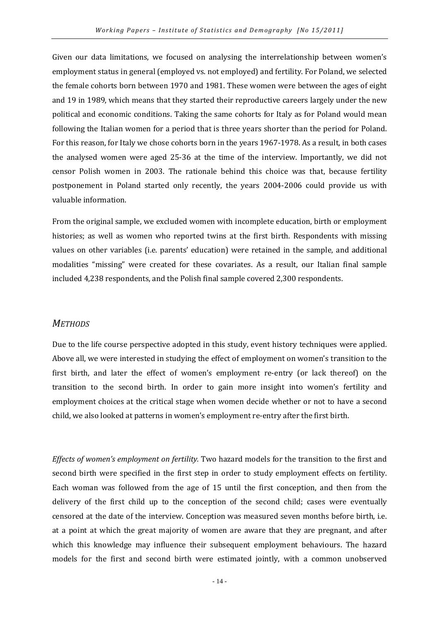Given our data limitations, we focused on analysing the interrelationship between women's employment status in general (employed vs. not employed) and fertility. For Poland, we selected the female cohorts born between 1970 and 1981. These women were between the ages of eight and 19 in 1989, which means that they started their reproductive careers largely under the new political and economic conditions. Taking the same cohorts for Italy as for Poland would mean following the Italian women for a period that is three years shorter than the period for Poland. For this reason, for Italy we chose cohorts born in the years 1967-1978. As a result, in both cases the analysed women were aged 25-36 at the time of the interview. Importantly, we did not censor Polish women in 2003. The rationale behind this choice was that, because fertility postponement in Poland started only recently, the years 2004-2006 could provide us with valuable information.

From the original sample, we excluded women with incomplete education, birth or employment histories; as well as women who reported twins at the first birth. Respondents with missing values on other variables (i.e. parents' education) were retained in the sample, and additional modalities "missing" were created for these covariates. As a result, our Italian final sample included 4,238 respondents, and the Polish final sample covered 2,300 respondents.

#### **METHODS**

Due to the life course perspective adopted in this study, event history techniques were applied. Above all, we were interested in studying the effect of employment on women's transition to the first birth, and later the effect of women's employment re-entry (or lack thereof) on the transition to the second birth. In order to gain more insight into women's fertility and employment choices at the critical stage when women decide whether or not to have a second child, we also looked at patterns in women's employment re-entry after the first birth.

Effects of women's employment on fertility. Two hazard models for the transition to the first and second birth were specified in the first step in order to study employment effects on fertility. Each woman was followed from the age of 15 until the first conception, and then from the delivery of the first child up to the conception of the second child; cases were eventually censored at the date of the interview. Conception was measured seven months before birth, i.e. at a point at which the great majority of women are aware that they are pregnant, and after which this knowledge may influence their subsequent employment behaviours. The hazard models for the first and second birth were estimated jointly, with a common unobserved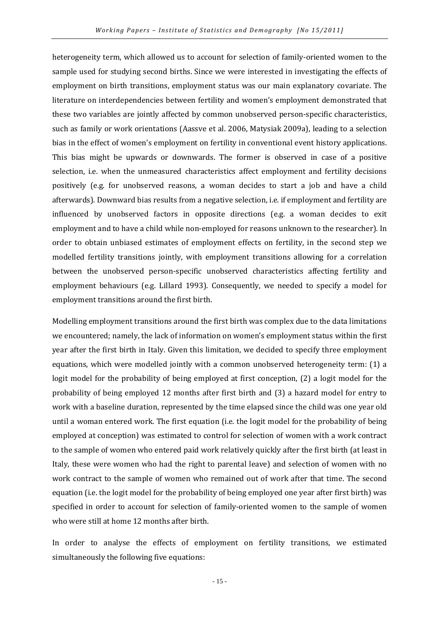heterogeneity term, which allowed us to account for selection of family-oriented women to the sample used for studying second births. Since we were interested in investigating the effects of employment on birth transitions, employment status was our main explanatory covariate. The literature on interdependencies between fertility and women's employment demonstrated that these two variables are jointly affected by common unobserved person-specific characteristics, such as family or work orientations (Aassve et al. 2006, Matysiak 2009a), leading to a selection bias in the effect of women's employment on fertility in conventional event history applications. This bias might be upwards or downwards. The former is observed in case of a positive selection, i.e. when the unmeasured characteristics affect employment and fertility decisions positively (e.g. for unobserved reasons, a woman decides to start a job and have a child afterwards). Downward bias results from a negative selection, i.e. if employment and fertility are influenced by unobserved factors in opposite directions (e.g. a woman decides to exit employment and to have a child while non-employed for reasons unknown to the researcher). In order to obtain unbiased estimates of employment effects on fertility, in the second step we modelled fertility transitions jointly, with employment transitions allowing for a correlation between the unobserved person-specific unobserved characteristics affecting fertility and employment behaviours (e.g. Lillard 1993). Consequently, we needed to specify a model for employment transitions around the first birth.

Modelling employment transitions around the first birth was complex due to the data limitations we encountered; namely, the lack of information on women's employment status within the first year after the first birth in Italy. Given this limitation, we decided to specify three employment equations, which were modelled jointly with a common unobserved heterogeneity term: (1) a logit model for the probability of being employed at first conception, (2) a logit model for the probability of being employed 12 months after first birth and (3) a hazard model for entry to work with a baseline duration, represented by the time elapsed since the child was one year old until a woman entered work. The first equation (i.e. the logit model for the probability of being employed at conception) was estimated to control for selection of women with a work contract to the sample of women who entered paid work relatively quickly after the first birth (at least in Italy, these were women who had the right to parental leave) and selection of women with no work contract to the sample of women who remained out of work after that time. The second equation (i.e. the logit model for the probability of being employed one year after first birth) was specified in order to account for selection of family-oriented women to the sample of women who were still at home 12 months after birth.

In order to analyse the effects of employment on fertility transitions, we estimated simultaneously the following five equations: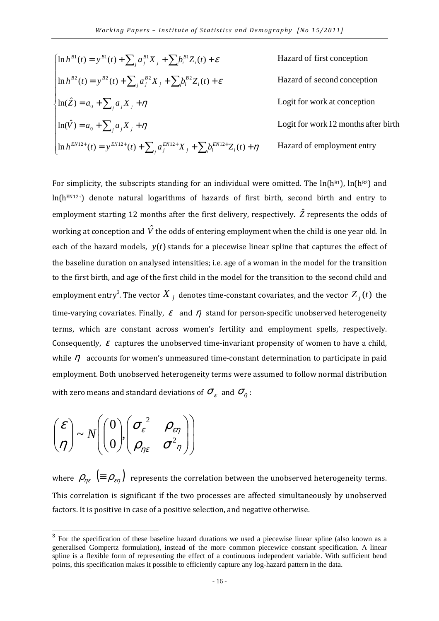$$
\begin{cases}\n\ln h^{B_1}(t) = y^{B_1}(t) + \sum_j a_j^{B_1} X_j + \sum_i b_i^{B_1} Z_i(t) + \varepsilon & \text{Hazard of first conception} \\
\ln h^{B_2}(t) = y^{B_2}(t) + \sum_j a_j^{B_2} X_j + \sum_i b_i^{B_2} Z_i(t) + \varepsilon & \text{Hazard of second conception} \\
\ln(\hat{Z}) = a_0 + \sum_j a_j X_j + \eta & \text{Logit for work at conception} \\
\ln(\hat{V}) = a_0 + \sum_j a_j X_j + \eta & \text{Logit for work 12 months after birth} \\
\ln h^{EN12+}(t) = y^{EN12+}(t) + \sum_j a_j^{EN12+} X_j + \sum_j b_i^{EN12+} Z_i(t) + \eta & \text{Hazard of employment entry}\n\end{cases}
$$

For simplicity, the subscripts standing for an individual were omitted. The  $ln(h^{B1})$ ,  $ln(h^{B2})$  and ln(hEN12+) denote natural logarithms of hazards of first birth, second birth and entry to employment starting 12 months after the first delivery, respectively.  $\hat{Z}$  represents the odds of working at conception and  $\hat{V}$  the odds of entering employment when the child is one year old. In each of the hazard models, *y*(*t*) stands for a piecewise linear spline that captures the effect of the baseline duration on analysed intensities; i.e. age of a woman in the model for the transition to the first birth, and age of the first child in the model for the transition to the second child and employment entry<sup>3</sup>. The vector  $\overline{X}_j$  denotes time-constant covariates, and the vector  $\overline{Z}_j(t)$  the time-varying covariates. Finally,  $\varepsilon$  and  $\eta$  stand for person-specific unobserved heterogeneity terms, which are constant across women's fertility and employment spells, respectively. Consequently,  $\varepsilon$  captures the unobserved time-invariant propensity of women to have a child, while  $\eta$  accounts for women's unmeasured time-constant determination to participate in paid employment. Both unobserved heterogeneity terms were assumed to follow normal distribution with zero means and standard deviations of  $\sigma_{\varepsilon}^{\varepsilon}$  and  $\sigma_{\eta}^{\varepsilon}$  :

$$
\begin{pmatrix} \varepsilon \\ \eta \end{pmatrix} \sim N \begin{pmatrix} 0 \\ 0 \end{pmatrix}, \begin{pmatrix} \sigma_{\varepsilon}^2 & \rho_{\varepsilon\eta} \\ \rho_{\eta\varepsilon} & \sigma^2 \eta \end{pmatrix}
$$

where  $\rho_{n\varepsilon}$  (=  $\rho_{\varepsilon n}$ ) represents the correlation between the unobserved heterogeneity terms. This correlation is significant if the two processes are affected simultaneously by unobserved factors. It is positive in case of a positive selection, and negative otherwise.

<sup>&</sup>lt;sup>3</sup> For the specification of these baseline hazard durations we used a piecewise linear spline (also known as a generalised Gompertz formulation), instead of the more common piecewice constant specification. A linear spline is a flexible form of representing the effect of a continuous independent variable. With sufficient bend points, this specification makes it possible to efficiently capture any log-hazard pattern in the data.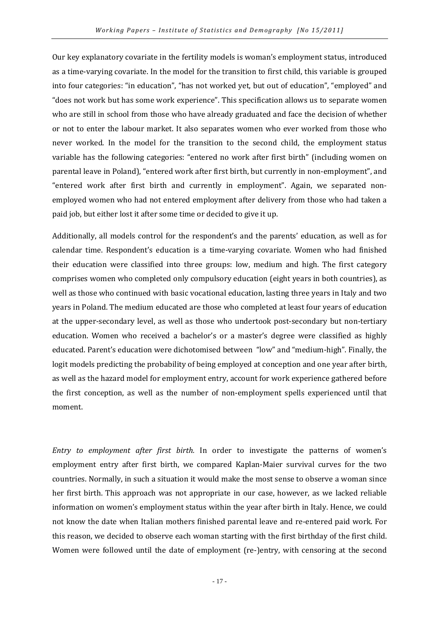Our key explanatory covariate in the fertility models is woman's employment status, introduced as a time-varying covariate. In the model for the transition to first child, this variable is grouped into four categories: "in education", "has not worked yet, but out of education", "employed" and "does not work but has some work experience". This specification allows us to separate women who are still in school from those who have already graduated and face the decision of whether or not to enter the labour market. It also separates women who ever worked from those who never worked. In the model for the transition to the second child, the employment status variable has the following categories: "entered no work after first birth" (including women on parental leave in Poland), "entered work after first birth, but currently in non-employment", and "entered work after first birth and currently in employment". Again, we separated nonemployed women who had not entered employment after delivery from those who had taken a paid job, but either lost it after some time or decided to give it up.

Additionally, all models control for the respondent's and the parents' education, as well as for calendar time. Respondent's education is a time-varying covariate. Women who had finished their education were classified into three groups: low, medium and high. The first category comprises women who completed only compulsory education (eight years in both countries), as well as those who continued with basic vocational education, lasting three years in Italy and two years in Poland. The medium educated are those who completed at least four years of education at the upper-secondary level, as well as those who undertook post-secondary but non-tertiary education. Women who received a bachelor's or a master's degree were classified as highly educated. Parent's education were dichotomised between "low" and "medium-high". Finally, the logit models predicting the probability of being employed at conception and one year after birth, as well as the hazard model for employment entry, account for work experience gathered before the first conception, as well as the number of non-employment spells experienced until that moment.

Entry to employment after first birth. In order to investigate the patterns of women's employment entry after first birth, we compared Kaplan-Maier survival curves for the two countries. Normally, in such a situation it would make the most sense to observe a woman since her first birth. This approach was not appropriate in our case, however, as we lacked reliable information on women's employment status within the year after birth in Italy. Hence, we could not know the date when Italian mothers finished parental leave and re-entered paid work. For this reason, we decided to observe each woman starting with the first birthday of the first child. Women were followed until the date of employment (re-)entry, with censoring at the second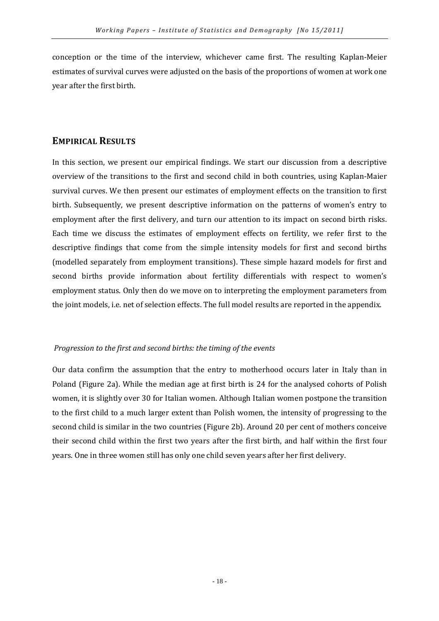conception or the time of the interview, whichever came first. The resulting Kaplan-Meier estimates of survival curves were adjusted on the basis of the proportions of women at work one year after the first birth.

#### EMPIRICAL RESULTS

In this section, we present our empirical findings. We start our discussion from a descriptive overview of the transitions to the first and second child in both countries, using Kaplan-Maier survival curves. We then present our estimates of employment effects on the transition to first birth. Subsequently, we present descriptive information on the patterns of women's entry to employment after the first delivery, and turn our attention to its impact on second birth risks. Each time we discuss the estimates of employment effects on fertility, we refer first to the descriptive findings that come from the simple intensity models for first and second births (modelled separately from employment transitions). These simple hazard models for first and second births provide information about fertility differentials with respect to women's employment status. Only then do we move on to interpreting the employment parameters from the joint models, i.e. net of selection effects. The full model results are reported in the appendix.

#### Progression to the first and second births: the timing of the events

Our data confirm the assumption that the entry to motherhood occurs later in Italy than in Poland (Figure 2a). While the median age at first birth is 24 for the analysed cohorts of Polish women, it is slightly over 30 for Italian women. Although Italian women postpone the transition to the first child to a much larger extent than Polish women, the intensity of progressing to the second child is similar in the two countries (Figure 2b). Around 20 per cent of mothers conceive their second child within the first two years after the first birth, and half within the first four years. One in three women still has only one child seven years after her first delivery.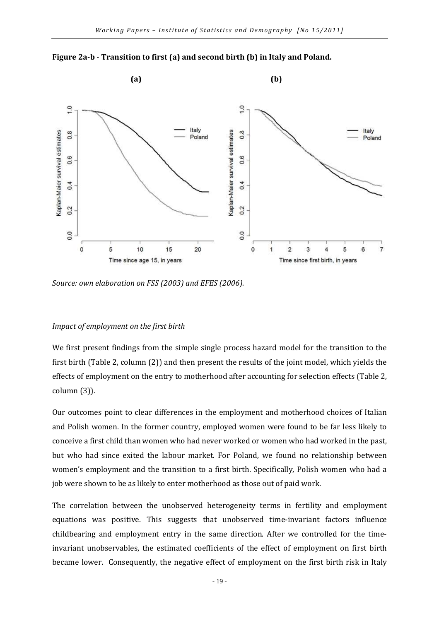



Source: own elaboration on FSS (2003) and EFES (2006).

#### Impact of employment on the first birth

We first present findings from the simple single process hazard model for the transition to the first birth (Table 2, column (2)) and then present the results of the joint model, which yields the effects of employment on the entry to motherhood after accounting for selection effects (Table 2, column (3)).

Our outcomes point to clear differences in the employment and motherhood choices of Italian and Polish women. In the former country, employed women were found to be far less likely to conceive a first child than women who had never worked or women who had worked in the past, but who had since exited the labour market. For Poland, we found no relationship between women's employment and the transition to a first birth. Specifically, Polish women who had a job were shown to be as likely to enter motherhood as those out of paid work.

The correlation between the unobserved heterogeneity terms in fertility and employment equations was positive. This suggests that unobserved time-invariant factors influence childbearing and employment entry in the same direction. After we controlled for the timeinvariant unobservables, the estimated coefficients of the effect of employment on first birth became lower. Consequently, the negative effect of employment on the first birth risk in Italy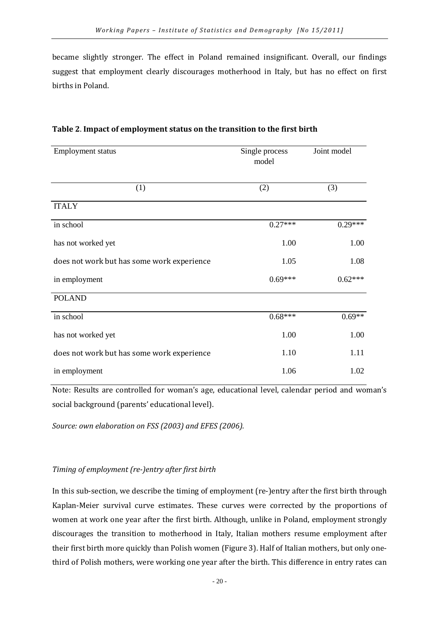became slightly stronger. The effect in Poland remained insignificant. Overall, our findings suggest that employment clearly discourages motherhood in Italy, but has no effect on first births in Poland.

| <b>Employment status</b>                   | Single process<br>model | Joint model |
|--------------------------------------------|-------------------------|-------------|
| (1)                                        | (2)                     | (3)         |
| <b>ITALY</b>                               |                         |             |
| in school                                  | $0.27***$               | $0.29***$   |
| has not worked yet                         | 1.00                    | 1.00        |
| does not work but has some work experience | 1.05                    | 1.08        |
| in employment                              | $0.69***$               | $0.62***$   |
| <b>POLAND</b>                              |                         |             |
| in school                                  | $0.68***$               | $0.69**$    |
| has not worked yet                         | 1.00                    | 1.00        |
| does not work but has some work experience | 1.10                    | 1.11        |
| in employment                              | 1.06                    | 1.02        |

#### Table 2. Impact of employment status on the transition to the first birth

Note: Results are controlled for woman's age, educational level, calendar period and woman's social background (parents' educational level).

Source: own elaboration on FSS (2003) and EFES (2006).

#### Timing of employment (re-)entry after first birth

In this sub-section, we describe the timing of employment (re-)entry after the first birth through Kaplan-Meier survival curve estimates. These curves were corrected by the proportions of women at work one year after the first birth. Although, unlike in Poland, employment strongly discourages the transition to motherhood in Italy, Italian mothers resume employment after their first birth more quickly than Polish women (Figure 3). Half of Italian mothers, but only onethird of Polish mothers, were working one year after the birth. This difference in entry rates can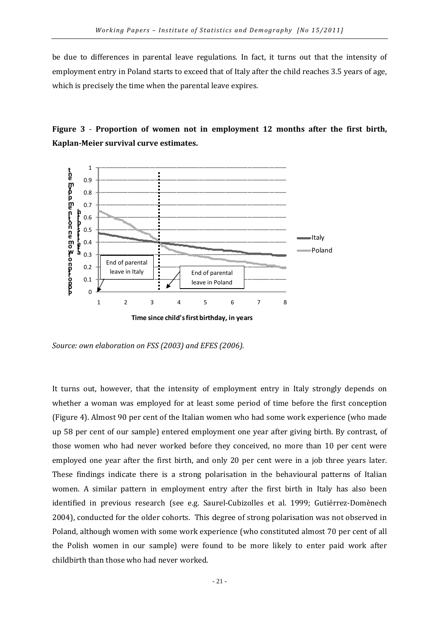be due to differences in parental leave regulations. In fact, it turns out that the intensity of employment entry in Poland starts to exceed that of Italy after the child reaches 3.5 years of age, which is precisely the time when the parental leave expires.





Source: own elaboration on FSS (2003) and EFES (2006).

It turns out, however, that the intensity of employment entry in Italy strongly depends on whether a woman was employed for at least some period of time before the first conception (Figure 4). Almost 90 per cent of the Italian women who had some work experience (who made up 58 per cent of our sample) entered employment one year after giving birth. By contrast, of those women who had never worked before they conceived, no more than 10 per cent were employed one year after the first birth, and only 20 per cent were in a job three years later. These findings indicate there is a strong polarisation in the behavioural patterns of Italian women. A similar pattern in employment entry after the first birth in Italy has also been identified in previous research (see e.g. Saurel-Cubizolles et al. 1999; Gutiérrez-Domènech 2004), conducted for the older cohorts. This degree of strong polarisation was not observed in Poland, although women with some work experience (who constituted almost 70 per cent of all the Polish women in our sample) were found to be more likely to enter paid work after childbirth than those who had never worked.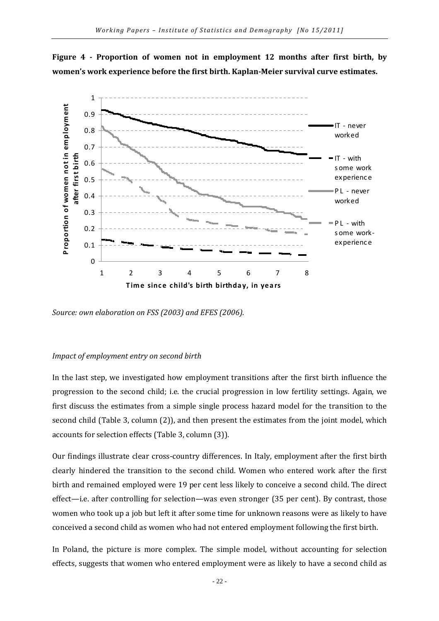



Source: own elaboration on FSS (2003) and EFES (2006).

#### Impact of employment entry on second birth

In the last step, we investigated how employment transitions after the first birth influence the progression to the second child; i.e. the crucial progression in low fertility settings. Again, we first discuss the estimates from a simple single process hazard model for the transition to the second child (Table 3, column (2)), and then present the estimates from the joint model, which accounts for selection effects (Table 3, column (3)).

Our findings illustrate clear cross-country differences. In Italy, employment after the first birth clearly hindered the transition to the second child. Women who entered work after the first birth and remained employed were 19 per cent less likely to conceive a second child. The direct effect—i.e. after controlling for selection—was even stronger (35 per cent). By contrast, those women who took up a job but left it after some time for unknown reasons were as likely to have conceived a second child as women who had not entered employment following the first birth.

In Poland, the picture is more complex. The simple model, without accounting for selection effects, suggests that women who entered employment were as likely to have a second child as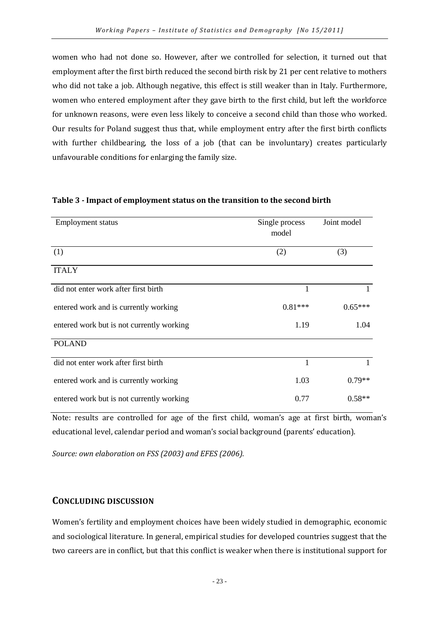women who had not done so. However, after we controlled for selection, it turned out that employment after the first birth reduced the second birth risk by 21 per cent relative to mothers who did not take a job. Although negative, this effect is still weaker than in Italy. Furthermore, women who entered employment after they gave birth to the first child, but left the workforce for unknown reasons, were even less likely to conceive a second child than those who worked. Our results for Poland suggest thus that, while employment entry after the first birth conflicts with further childbearing, the loss of a job (that can be involuntary) creates particularly unfavourable conditions for enlarging the family size.

| <b>Employment status</b>                  | Single process<br>model | Joint model |
|-------------------------------------------|-------------------------|-------------|
| (1)                                       | (2)                     | (3)         |
| <b>ITALY</b>                              |                         |             |
| did not enter work after first birth      | 1                       |             |
| entered work and is currently working     | $0.81***$               | $0.65***$   |
| entered work but is not currently working | 1.19                    | 1.04        |
| <b>POLAND</b>                             |                         |             |
| did not enter work after first birth      | 1                       |             |
| entered work and is currently working     | 1.03                    | $0.79**$    |
| entered work but is not currently working | 0.77                    | $0.58**$    |

#### Table 3 - Impact of employment status on the transition to the second birth

Note: results are controlled for age of the first child, woman's age at first birth, woman's educational level, calendar period and woman's social background (parents' education).

Source: own elaboration on FSS (2003) and EFES (2006).

#### CONCLUDING DISCUSSION

Women's fertility and employment choices have been widely studied in demographic, economic and sociological literature. In general, empirical studies for developed countries suggest that the two careers are in conflict, but that this conflict is weaker when there is institutional support for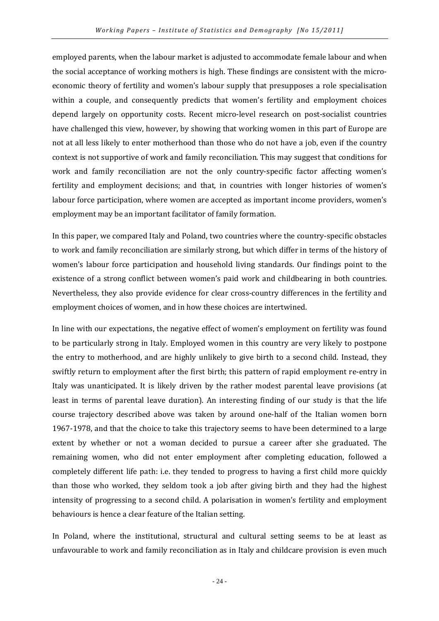employed parents, when the labour market is adjusted to accommodate female labour and when the social acceptance of working mothers is high. These findings are consistent with the microeconomic theory of fertility and women's labour supply that presupposes a role specialisation within a couple, and consequently predicts that women's fertility and employment choices depend largely on opportunity costs. Recent micro-level research on post-socialist countries have challenged this view, however, by showing that working women in this part of Europe are not at all less likely to enter motherhood than those who do not have a job, even if the country context is not supportive of work and family reconciliation. This may suggest that conditions for work and family reconciliation are not the only country-specific factor affecting women's fertility and employment decisions; and that, in countries with longer histories of women's labour force participation, where women are accepted as important income providers, women's employment may be an important facilitator of family formation.

In this paper, we compared Italy and Poland, two countries where the country-specific obstacles to work and family reconciliation are similarly strong, but which differ in terms of the history of women's labour force participation and household living standards. Our findings point to the existence of a strong conflict between women's paid work and childbearing in both countries. Nevertheless, they also provide evidence for clear cross-country differences in the fertility and employment choices of women, and in how these choices are intertwined.

In line with our expectations, the negative effect of women's employment on fertility was found to be particularly strong in Italy. Employed women in this country are very likely to postpone the entry to motherhood, and are highly unlikely to give birth to a second child. Instead, they swiftly return to employment after the first birth; this pattern of rapid employment re-entry in Italy was unanticipated. It is likely driven by the rather modest parental leave provisions (at least in terms of parental leave duration). An interesting finding of our study is that the life course trajectory described above was taken by around one-half of the Italian women born 1967-1978, and that the choice to take this trajectory seems to have been determined to a large extent by whether or not a woman decided to pursue a career after she graduated. The remaining women, who did not enter employment after completing education, followed a completely different life path: i.e. they tended to progress to having a first child more quickly than those who worked, they seldom took a job after giving birth and they had the highest intensity of progressing to a second child. A polarisation in women's fertility and employment behaviours is hence a clear feature of the Italian setting.

In Poland, where the institutional, structural and cultural setting seems to be at least as unfavourable to work and family reconciliation as in Italy and childcare provision is even much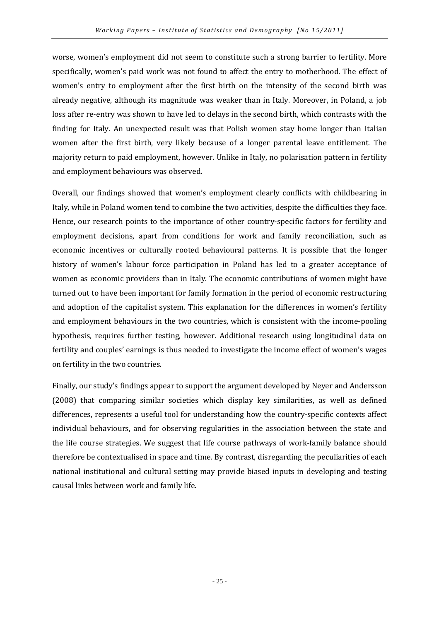worse, women's employment did not seem to constitute such a strong barrier to fertility. More specifically, women's paid work was not found to affect the entry to motherhood. The effect of women's entry to employment after the first birth on the intensity of the second birth was already negative, although its magnitude was weaker than in Italy. Moreover, in Poland, a job loss after re-entry was shown to have led to delays in the second birth, which contrasts with the finding for Italy. An unexpected result was that Polish women stay home longer than Italian women after the first birth, very likely because of a longer parental leave entitlement. The majority return to paid employment, however. Unlike in Italy, no polarisation pattern in fertility and employment behaviours was observed.

Overall, our findings showed that women's employment clearly conflicts with childbearing in Italy, while in Poland women tend to combine the two activities, despite the difficulties they face. Hence, our research points to the importance of other country-specific factors for fertility and employment decisions, apart from conditions for work and family reconciliation, such as economic incentives or culturally rooted behavioural patterns. It is possible that the longer history of women's labour force participation in Poland has led to a greater acceptance of women as economic providers than in Italy. The economic contributions of women might have turned out to have been important for family formation in the period of economic restructuring and adoption of the capitalist system. This explanation for the differences in women's fertility and employment behaviours in the two countries, which is consistent with the income-pooling hypothesis, requires further testing, however. Additional research using longitudinal data on fertility and couples' earnings is thus needed to investigate the income effect of women's wages on fertility in the two countries.

Finally, our study's findings appear to support the argument developed by Neyer and Andersson (2008) that comparing similar societies which display key similarities, as well as defined differences, represents a useful tool for understanding how the country-specific contexts affect individual behaviours, and for observing regularities in the association between the state and the life course strategies. We suggest that life course pathways of work-family balance should therefore be contextualised in space and time. By contrast, disregarding the peculiarities of each national institutional and cultural setting may provide biased inputs in developing and testing causal links between work and family life.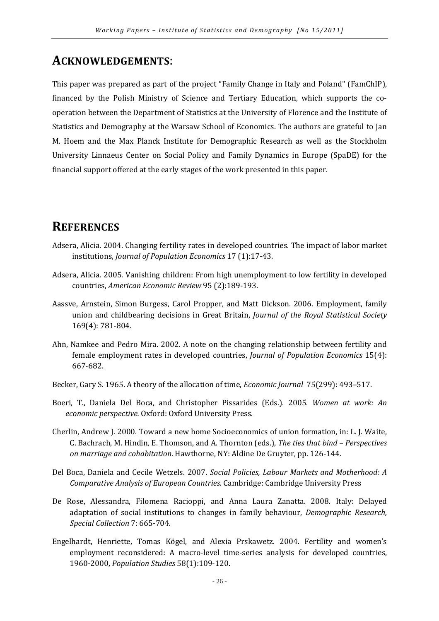## ACKNOWLEDGEMENTS:

This paper was prepared as part of the project "Family Change in Italy and Poland" (FamChIP), financed by the Polish Ministry of Science and Tertiary Education, which supports the cooperation between the Department of Statistics at the University of Florence and the Institute of Statistics and Demography at the Warsaw School of Economics. The authors are grateful to Jan M. Hoem and the Max Planck Institute for Demographic Research as well as the Stockholm University Linnaeus Center on Social Policy and Family Dynamics in Europe (SpaDE) for the financial support offered at the early stages of the work presented in this paper.

## **REFERENCES**

- Adsera, Alicia. 2004. Changing fertility rates in developed countries. The impact of labor market institutions, Journal of Population Economics 17 (1):17-43.
- Adsera, Alicia. 2005. Vanishing children: From high unemployment to low fertility in developed countries, American Economic Review 95 (2):189-193.
- Aassve, Arnstein, Simon Burgess, Carol Propper, and Matt Dickson. 2006. Employment, family union and childbearing decisions in Great Britain, Journal of the Royal Statistical Society 169(4): 781-804.
- Ahn, Namkee and Pedro Mira. 2002. A note on the changing relationship between fertility and female employment rates in developed countries, Journal of Population Economics 15(4): 667-682.
- Becker, Gary S. 1965. A theory of the allocation of time, Economic Journal 75(299): 493–517.
- Boeri, T., Daniela Del Boca, and Christopher Pissarides (Eds.). 2005. Women at work: An economic perspective. Oxford: Oxford University Press.
- Cherlin, Andrew J. 2000. Toward a new home Socioeconomics of union formation, in: L. J. Waite, C. Bachrach, M. Hindin, E. Thomson, and A. Thornton (eds.), The ties that bind – Perspectives on marriage and cohabitation. Hawthorne, NY: Aldine De Gruyter, pp. 126-144.
- Del Boca, Daniela and Cecile Wetzels. 2007. Social Policies, Labour Markets and Motherhood: A Comparative Analysis of European Countries. Cambridge: Cambridge University Press
- De Rose, Alessandra, Filomena Racioppi, and Anna Laura Zanatta. 2008. Italy: Delayed adaptation of social institutions to changes in family behaviour, Demographic Research, Special Collection 7: 665-704.
- Engelhardt, Henriette, Tomas Kögel, and Alexia Prskawetz. 2004. Fertility and women's employment reconsidered: A macro-level time-series analysis for developed countries, 1960-2000, Population Studies 58(1):109-120.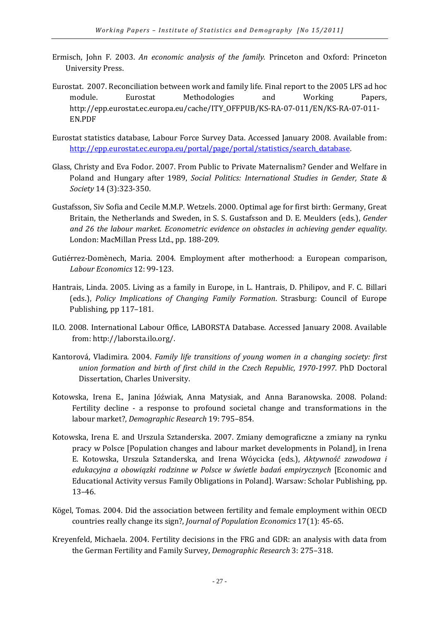- Ermisch, John F. 2003. An economic analysis of the family. Princeton and Oxford: Princeton University Press.
- Eurostat. 2007. Reconciliation between work and family life. Final report to the 2005 LFS ad hoc module. Eurostat Methodologies and Working Papers, http://epp.eurostat.ec.europa.eu/cache/ITY\_OFFPUB/KS-RA-07-011/EN/KS-RA-07-011- EN.PDF
- Eurostat statistics database, Labour Force Survey Data. Accessed January 2008. Available from: http://epp.eurostat.ec.europa.eu/portal/page/portal/statistics/search\_database.
- Glass, Christy and Eva Fodor. 2007. From Public to Private Maternalism? Gender and Welfare in Poland and Hungary after 1989, Social Politics: International Studies in Gender, State & Society 14 (3):323-350.
- Gustafsson, Siv Sofia and Cecile M.M.P. Wetzels. 2000. Optimal age for first birth: Germany, Great Britain, the Netherlands and Sweden, in S. S. Gustafsson and D. E. Meulders (eds.), Gender and 26 the labour market. Econometric evidence on obstacles in achieving gender equality. London: MacMillan Press Ltd., pp. 188-209.
- Gutiérrez-Domènech, Maria. 2004. Employment after motherhood: a European comparison, Labour Economics 12: 99-123.
- Hantrais, Linda. 2005. Living as a family in Europe, in L. Hantrais, D. Philipov, and F. C. Billari (eds.), Policy Implications of Changing Family Formation. Strasburg: Council of Europe Publishing, pp 117–181.
- ILO. 2008. International Labour Office, LABORSTA Database. Accessed January 2008. Available from: http://laborsta.ilo.org/.
- Kantorová, Vladimira. 2004. Family life transitions of young women in a changing society: first union formation and birth of first child in the Czech Republic, 1970-1997. PhD Doctoral Dissertation, Charles University.
- Kotowska, Irena E., Janina Jóźwiak, Anna Matysiak, and Anna Baranowska. 2008. Poland: Fertility decline - a response to profound societal change and transformations in the labour market?, Demographic Research 19: 795–854.
- Kotowska, Irena E. and Urszula Sztanderska. 2007. Zmiany demograficzne a zmiany na rynku pracy w Polsce [Population changes and labour market developments in Poland], in Irena E. Kotowska, Urszula Sztanderska, and Irena Wóycicka (eds.), Aktywność zawodowa i edukacyjna a obowiązki rodzinne w Polsce w świetle badań empirycznych [Economic and Educational Activity versus Family Obligations in Poland]. Warsaw: Scholar Publishing, pp. 13–46.
- Kögel, Tomas. 2004. Did the association between fertility and female employment within OECD countries really change its sign?, Journal of Population Economics 17(1): 45-65.
- Kreyenfeld, Michaela. 2004. Fertility decisions in the FRG and GDR: an analysis with data from the German Fertility and Family Survey, Demographic Research 3: 275–318.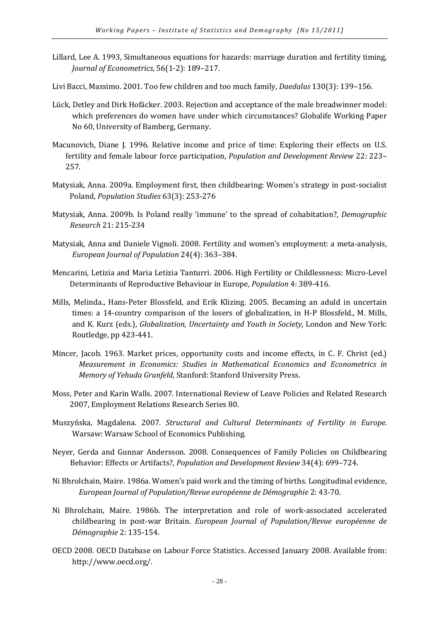- Lillard, Lee A. 1993, Simultaneous equations for hazards: marriage duration and fertility timing, Journal of Econometrics, 56(1-2): 189–217.
- Livi Bacci, Massimo. 2001. Too few children and too much family, Daedalus 130(3): 139–156.
- Lück, Detley and Dirk Hofäcker. 2003. Rejection and acceptance of the male breadwinner model: which preferences do women have under which circumstances? Globalife Working Paper No 60, University of Bamberg, Germany.
- Macunovich, Diane J. 1996. Relative income and price of time: Exploring their effects on U.S. fertility and female labour force participation, Population and Development Review 22: 223– 257.
- Matysiak, Anna. 2009a. Employment first, then childbearing: Women's strategy in post-socialist Poland, Population Studies 63(3): 253-276
- Matysiak, Anna. 2009b. Is Poland really 'immune' to the spread of cohabitation?, Demographic Research 21: 215-234
- Matysiak, Anna and Daniele Vignoli. 2008. Fertility and women's employment: a meta-analysis, European Journal of Population 24(4): 363–384.
- Mencarini, Letizia and Maria Letizia Tanturri. 2006. High Fertility or Childlessness: Micro-Level Determinants of Reproductive Behaviour in Europe, Population 4: 389-416.
- Mills, Melinda., Hans-Peter Blossfeld, and Erik Klizing. 2005. Becaming an aduld in uncertain times: a 14-country comparison of the losers of globalization, in H-P Blossfeld., M. Mills, and K. Kurz (eds.), Globalization, Uncertainty and Youth in Society, London and New York: Routledge, pp 423-441.
- Mincer, Jacob. 1963. Market prices, opportunity costs and income effects, in C. F. Christ (ed.) Measurement in Economics: Studies in Mathematical Economics and Econometrics in Memory of Yehuda Grunfeld, Stanford: Stanford University Press.
- Moss, Peter and Karin Walls. 2007. International Review of Leave Policies and Related Research 2007, Employment Relations Research Series 80.
- Muszyńska, Magdalena. 2007. Structural and Cultural Determinants of Fertility in Europe. Warsaw: Warsaw School of Economics Publishing.
- Neyer, Gerda and Gunnar Andersson. 2008. Consequences of Family Policies on Childbearing Behavior: Effects or Artifacts?, Population and Development Review 34(4): 699–724.
- Ni Bhrolchain, Maire. 1986a. Women's paid work and the timing of births. Longitudinal evidence, European Journal of Population/Revue européenne de Démographie 2: 43-70.
- Ni Bhrolchain, Maire. 1986b. The interpretation and role of work-associated accelerated childbearing in post-war Britain. European Journal of Population/Revue européenne de Démographie 2: 135-154.
- OECD 2008. OECD Database on Labour Force Statistics. Accessed January 2008. Available from: http://www.oecd.org/.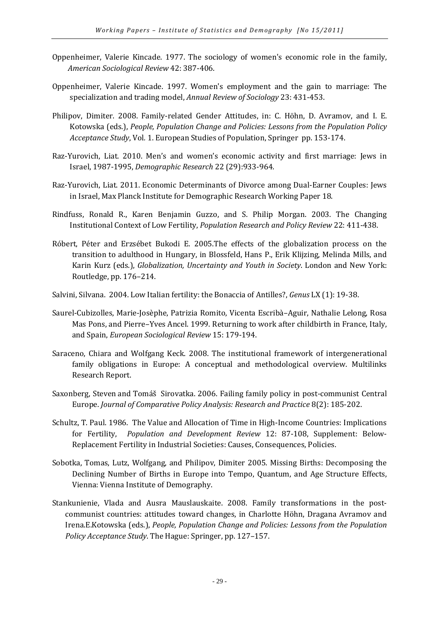- Oppenheimer, Valerie Kincade. 1977. The sociology of women's economic role in the family, American Sociological Review 42: 387-406.
- Oppenheimer, Valerie Kincade. 1997. Women's employment and the gain to marriage: The specialization and trading model, Annual Review of Sociology 23: 431-453.
- Philipov, Dimiter. 2008. Family-related Gender Attitudes, in: C. Höhn, D. Avramov, and I. E. Kotowska (eds.), People, Population Change and Policies: Lessons from the Population Policy Acceptance Study, Vol. 1. European Studies of Population, Springer pp. 153-174.
- Raz-Yurovich, Liat. 2010. Men's and women's economic activity and first marriage: Jews in Israel, 1987-1995, Demographic Research 22 (29):933-964.
- Raz-Yurovich, Liat. 2011. Economic Determinants of Divorce among Dual-Earner Couples: Jews in Israel, Max Planck Institute for Demographic Research Working Paper 18.
- Rindfuss, Ronald R., Karen Benjamin Guzzo, and S. Philip Morgan. 2003. The Changing Institutional Context of Low Fertility, Population Research and Policy Review 22: 411-438.
- Róbert, Péter and Erzsébet Bukodi E. 2005.The effects of the globalization process on the transition to adulthood in Hungary, in Blossfeld, Hans P., Erik Klijzing, Melinda Mills, and Karin Kurz (eds.), Globalization, Uncertainty and Youth in Society. London and New York: Routledge, pp. 176–214.
- Salvini, Silvana. 2004. Low Italian fertility: the Bonaccia of Antilles?, Genus LX (1): 19-38.
- Saurel-Cubizolles, Marie-Josèphe, Patrizia Romito, Vicenta Escribà–Aguir, Nathalie Lelong, Rosa Mas Pons, and Pierre–Yves Ancel. 1999. Returning to work after childbirth in France, Italy, and Spain, European Sociological Review 15: 179-194.
- Saraceno, Chiara and Wolfgang Keck. 2008. The institutional framework of intergenerational family obligations in Europe: A conceptual and methodological overview. Multilinks Research Report.
- Saxonberg, Steven and Tomáš Sirovatka. 2006. Failing family policy in post-communist Central Europe. Journal of Comparative Policy Analysis: Research and Practice 8(2): 185-202.
- Schultz, T. Paul. 1986. The Value and Allocation of Time in High-Income Countries: Implications for Fertility, Population and Development Review 12: 87-108, Supplement: Below-Replacement Fertility in Industrial Societies: Causes, Consequences, Policies.
- Sobotka, Tomas, Lutz, Wolfgang, and Philipov, Dimiter 2005. Missing Births: Decomposing the Declining Number of Births in Europe into Tempo, Quantum, and Age Structure Effects, Vienna: Vienna Institute of Demography.
- Stankunienie, Vlada and Ausra Mauslauskaite. 2008. Family transformations in the postcommunist countries: attitudes toward changes, in Charlotte Höhn, Dragana Avramov and Irena.E.Kotowska (eds.), People, Population Change and Policies: Lessons from the Population Policy Acceptance Study. The Hague: Springer, pp. 127–157.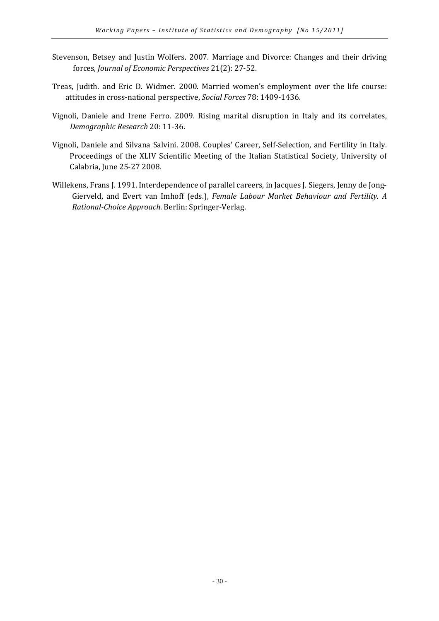- Stevenson, Betsey and Justin Wolfers. 2007. Marriage and Divorce: Changes and their driving forces, Journal of Economic Perspectives 21(2): 27-52.
- Treas, Judith. and Eric D. Widmer. 2000. Married women's employment over the life course: attitudes in cross-national perspective, Social Forces 78: 1409-1436.
- Vignoli, Daniele and Irene Ferro. 2009. Rising marital disruption in Italy and its correlates, Demographic Research 20: 11-36.
- Vignoli, Daniele and Silvana Salvini. 2008. Couples' Career, Self-Selection, and Fertility in Italy. Proceedings of the XLIV Scientific Meeting of the Italian Statistical Society, University of Calabria, June 25-27 2008.
- Willekens, Frans J. 1991. Interdependence of parallel careers, in Jacques J. Siegers, Jenny de Jong-Gierveld, and Evert van Imhoff (eds.), Female Labour Market Behaviour and Fertility. A Rational-Choice Approach. Berlin: Springer-Verlag.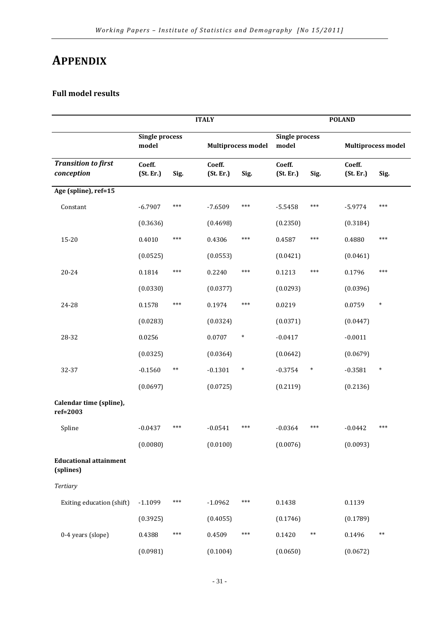## APPENDIX

### Full model results

|                                            |                                |       | <b>ITALY</b>        |                           |                                |        | <b>POLAND</b>       |                           |
|--------------------------------------------|--------------------------------|-------|---------------------|---------------------------|--------------------------------|--------|---------------------|---------------------------|
|                                            | <b>Single process</b><br>model |       |                     | <b>Multiprocess model</b> | <b>Single process</b><br>model |        |                     | <b>Multiprocess model</b> |
| <b>Transition to first</b><br>conception   | Coeff.<br>(St. Er.)            | Sig.  | Coeff.<br>(St. Er.) | Sig.                      | Coeff.<br>(St. Er.)            | Sig.   | Coeff.<br>(St. Er.) | Sig.                      |
| Age (spline), ref=15                       |                                |       |                     |                           |                                |        |                     |                           |
| Constant                                   | $-6.7907$                      | ***   | $-7.6509$           | ***                       | $-5.5458$                      | ***    | $-5.9774$           | ***                       |
|                                            | (0.3636)                       |       | (0.4698)            |                           | (0.2350)                       |        | (0.3184)            |                           |
| $15 - 20$                                  | 0.4010                         | $***$ | 0.4306              | ***                       | 0.4587                         | ***    | 0.4880              | ***                       |
|                                            | (0.0525)                       |       | (0.0553)            |                           | (0.0421)                       |        | (0.0461)            |                           |
| 20-24                                      | 0.1814                         | ***   | 0.2240              | ***                       | 0.1213                         | ***    | 0.1796              | ***                       |
|                                            | (0.0330)                       |       | (0.0377)            |                           | (0.0293)                       |        | (0.0396)            |                           |
| 24-28                                      | 0.1578                         | ***   | 0.1974              | ***                       | 0.0219                         |        | 0.0759              | $\ast$                    |
|                                            | (0.0283)                       |       | (0.0324)            |                           | (0.0371)                       |        | (0.0447)            |                           |
| 28-32                                      | 0.0256                         |       | 0.0707              | $\ast$                    | $-0.0417$                      |        | $-0.0011$           |                           |
|                                            | (0.0325)                       |       | (0.0364)            |                           | (0.0642)                       |        | (0.0679)            |                           |
| 32-37                                      | $-0.1560$                      | $***$ | $-0.1301$           | $\ast$                    | $-0.3754$                      | $\ast$ | $-0.3581$           | $\ast$                    |
|                                            | (0.0697)                       |       | (0.0725)            |                           | (0.2119)                       |        | (0.2136)            |                           |
| Calendar time (spline),<br>ref=2003        |                                |       |                     |                           |                                |        |                     |                           |
| Spline                                     | $-0.0437$                      | ***   | $-0.0541$           | ***                       | $-0.0364$                      | ***    | $-0.0442$           | ***                       |
|                                            | (0.0080)                       |       | (0.0100)            |                           | (0.0076)                       |        | (0.0093)            |                           |
| <b>Educational attainment</b><br>(splines) |                                |       |                     |                           |                                |        |                     |                           |
| <b>Tertiary</b>                            |                                |       |                     |                           |                                |        |                     |                           |
| Exiting education (shift)                  | $-1.1099$                      | ***   | $-1.0962$           | ***                       | 0.1438                         |        | 0.1139              |                           |
|                                            | (0.3925)                       |       | (0.4055)            |                           | (0.1746)                       |        | (0.1789)            |                           |
| 0-4 years (slope)                          | 0.4388                         | ***   | 0.4509              | ***                       | 0.1420                         | $**$   | 0.1496              | $***$                     |
|                                            | (0.0981)                       |       | (0.1004)            |                           | (0.0650)                       |        | (0.0672)            |                           |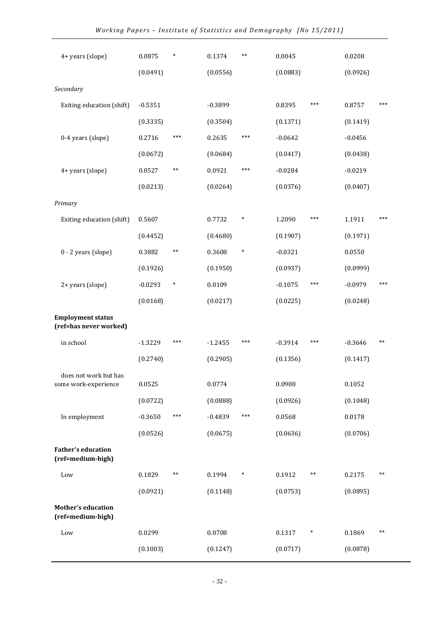| 4+ years (slope)                                   | 0.0875    | $\ast$ | 0.1374    | $***$  | 0.0045    |        | 0.0208    |       |
|----------------------------------------------------|-----------|--------|-----------|--------|-----------|--------|-----------|-------|
|                                                    | (0.0491)  |        | (0.0556)  |        | (0.0883)  |        | (0.0926)  |       |
| Secondary                                          |           |        |           |        |           |        |           |       |
| Exiting education (shift)                          | $-0.5351$ |        | $-0.3899$ |        | 0.8395    | ***    | 0.8757    | $***$ |
|                                                    | (0.3335)  |        | (0.3504)  |        | (0.1371)  |        | (0.1419)  |       |
| 0-4 years (slope)                                  | 0.2716    | ***    | 0.2635    | ***    | $-0.0642$ |        | $-0.0456$ |       |
|                                                    | (0.0672)  |        | (0.0684)  |        | (0.0417)  |        | (0.0438)  |       |
| 4+ years (slope)                                   | 0.0527    | $**$   | 0.0921    | ***    | $-0.0284$ |        | $-0.0219$ |       |
|                                                    | (0.0213)  |        | (0.0264)  |        | (0.0376)  |        | (0.0407)  |       |
| Primary                                            |           |        |           |        |           |        |           |       |
| Exiting education (shift)                          | 0.5607    |        | 0.7732    | $\ast$ | 1.2090    | ***    | 1.1911    | $***$ |
|                                                    | (0.4452)  |        | (0.4680)  |        | (0.1907)  |        | (0.1971)  |       |
| 0 - 2 years (slope)                                | 0.3882    | $**$   | 0.3608    | $\ast$ | $-0.0321$ |        | 0.0550    |       |
|                                                    | (0.1926)  |        | (0.1950)  |        | (0.0937)  |        | (0.0999)  |       |
| 2+ years (slope)                                   | $-0.0293$ | $\ast$ | 0.0109    |        | $-0.1075$ | ***    | $-0.0979$ | ***   |
|                                                    | (0.0168)  |        | (0.0217)  |        | (0.0225)  |        | (0.0248)  |       |
| <b>Employment status</b><br>(ref=has never worked) |           |        |           |        |           |        |           |       |
| in school                                          | $-1.3229$ | ***    | $-1.2455$ | ***    | $-0.3914$ | ***    | $-0.3646$ | $***$ |
|                                                    | (0.2740)  |        | (0.2905)  |        | (0.1356)  |        | (0.1417)  |       |
| does not work but has<br>some work-experience      | 0.0525    |        | 0.0774    |        | 0.0908    |        | 0.1052    |       |
|                                                    | (0.0722)  |        | (0.0888)  |        | (0.0926)  |        | (0.1048)  |       |
| In employment                                      | $-0.3650$ | ***    | $-0.4839$ | ***    | 0.0568    |        | 0.0178    |       |
|                                                    | (0.0526)  |        | (0.0675)  |        | (0.0636)  |        | (0.0706)  |       |
| <b>Father's education</b><br>(ref=medium-high)     |           |        |           |        |           |        |           |       |
| Low                                                | 0.1829    | $**$   | 0.1994    | $\ast$ | 0.1912    | $***$  | 0.2175    | $***$ |
|                                                    | (0.0921)  |        | (0.1148)  |        | (0.0753)  |        | (0.0895)  |       |
| <b>Mother's education</b><br>(ref=medium-high)     |           |        |           |        |           |        |           |       |
| Low                                                | 0.0299    |        | 0.0708    |        | 0.1317    | $\ast$ | 0.1869    | $***$ |
|                                                    | (0.1003)  |        | (0.1247)  |        | (0.0717)  |        | (0.0878)  |       |
|                                                    |           |        |           |        |           |        |           |       |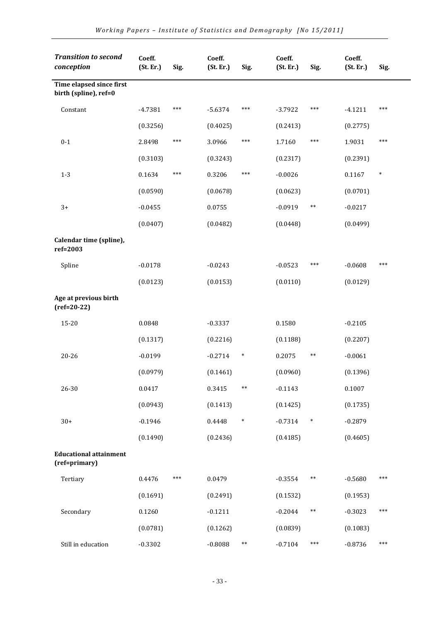| <b>Transition to second</b><br>conception         | Coeff.<br>(St. Er.) | Sig. | Coeff.<br>(St. Er.) | Sig.   | Coeff.<br>(St. Er.) | Sig.   | Coeff.<br>(St. Er.) | Sig.   |
|---------------------------------------------------|---------------------|------|---------------------|--------|---------------------|--------|---------------------|--------|
| Time elapsed since first<br>birth (spline), ref=0 |                     |      |                     |        |                     |        |                     |        |
| Constant                                          | $-4.7381$           | ***  | $-5.6374$           | ***    | $-3.7922$           | ***    | $-4.1211$           | ***    |
|                                                   | (0.3256)            |      | (0.4025)            |        | (0.2413)            |        | (0.2775)            |        |
| $0 - 1$                                           | 2.8498              | ***  | 3.0966              | ***    | 1.7160              | ***    | 1.9031              | ***    |
|                                                   | (0.3103)            |      | (0.3243)            |        | (0.2317)            |        | (0.2391)            |        |
| $1 - 3$                                           | 0.1634              | ***  | 0.3206              | ***    | $-0.0026$           |        | 0.1167              | $\ast$ |
|                                                   | (0.0590)            |      | (0.0678)            |        | (0.0623)            |        | (0.0701)            |        |
| $3+$                                              | $-0.0455$           |      | 0.0755              |        | $-0.0919$           | $***$  | $-0.0217$           |        |
|                                                   | (0.0407)            |      | (0.0482)            |        | (0.0448)            |        | (0.0499)            |        |
| Calendar time (spline),<br>ref=2003               |                     |      |                     |        |                     |        |                     |        |
| Spline                                            | $-0.0178$           |      | $-0.0243$           |        | $-0.0523$           | ***    | $-0.0608$           | ***    |
|                                                   | (0.0123)            |      | (0.0153)            |        | (0.0110)            |        | (0.0129)            |        |
| Age at previous birth<br>$(ref=20-22)$            |                     |      |                     |        |                     |        |                     |        |
| 15-20                                             | 0.0848              |      | $-0.3337$           |        | 0.1580              |        | $-0.2105$           |        |
|                                                   | (0.1317)            |      | (0.2216)            |        | (0.1188)            |        | (0.2207)            |        |
| $20 - 26$                                         | $-0.0199$           |      | $-0.2714$           | $\ast$ | 0.2075              | $***$  | $-0.0061$           |        |
|                                                   | (0.0979)            |      | (0.1461)            |        | (0.0960)            |        | (0.1396)            |        |
| 26-30                                             | 0.0417              |      | 0.3415              | $***$  | $-0.1143$           |        | 0.1007              |        |
|                                                   | (0.0943)            |      | (0.1413)            |        | (0.1425)            |        | (0.1735)            |        |
| $30+$                                             | $-0.1946$           |      | 0.4448              | $\ast$ | $-0.7314$           | $\ast$ | $-0.2879$           |        |
|                                                   | (0.1490)            |      | (0.2436)            |        | (0.4185)            |        | (0.4605)            |        |
| <b>Educational attainment</b><br>(ref=primary)    |                     |      |                     |        |                     |        |                     |        |
| Tertiary                                          | 0.4476              | ***  | 0.0479              |        | $-0.3554$           | $***$  | $-0.5680$           | ***    |
|                                                   | (0.1691)            |      | (0.2491)            |        | (0.1532)            |        | (0.1953)            |        |
| Secondary                                         | 0.1260              |      | $-0.1211$           |        | $-0.2044$           | $**$   | $-0.3023$           | ***    |
|                                                   | (0.0781)            |      | (0.1262)            |        | (0.0839)            |        | (0.1083)            |        |
| Still in education                                | $-0.3302$           |      | $-0.8088$           | $***$  | $-0.7104$           | ***    | $-0.8736$           | ***    |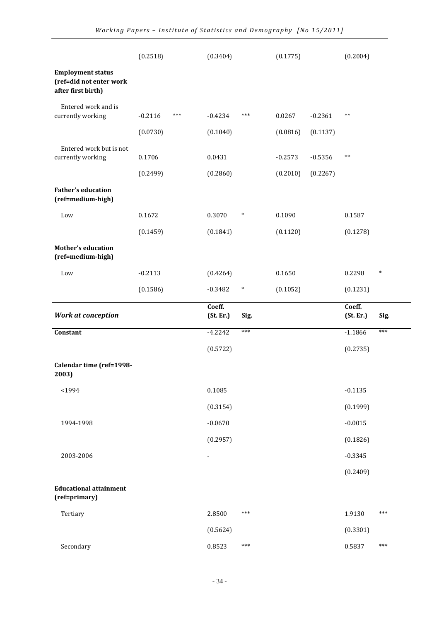|                                                                           | (0.2518)  |     | (0.3404)                 |        | (0.1775)  |           | (0.2004)            |        |
|---------------------------------------------------------------------------|-----------|-----|--------------------------|--------|-----------|-----------|---------------------|--------|
| <b>Employment status</b><br>(ref=did not enter work<br>after first birth) |           |     |                          |        |           |           |                     |        |
| Entered work and is                                                       |           |     |                          |        |           |           |                     |        |
| currently working                                                         | $-0.2116$ | *** | $-0.4234$                | ***    | 0.0267    | $-0.2361$ | $***$               |        |
|                                                                           | (0.0730)  |     | (0.1040)                 |        | (0.0816)  | (0.1137)  |                     |        |
| Entered work but is not<br>currently working                              | 0.1706    |     | 0.0431                   |        | $-0.2573$ | $-0.5356$ | $***$               |        |
|                                                                           | (0.2499)  |     | (0.2860)                 |        | (0.2010)  | (0.2267)  |                     |        |
| <b>Father's education</b><br>(ref=medium-high)                            |           |     |                          |        |           |           |                     |        |
| Low                                                                       | 0.1672    |     | 0.3070                   | $\ast$ | 0.1090    |           | 0.1587              |        |
|                                                                           | (0.1459)  |     | (0.1841)                 |        | (0.1120)  |           | (0.1278)            |        |
| <b>Mother's education</b><br>(ref=medium-high)                            |           |     |                          |        |           |           |                     |        |
| Low                                                                       | $-0.2113$ |     | (0.4264)                 |        | 0.1650    |           | 0.2298              | $\ast$ |
|                                                                           | (0.1586)  |     | $-0.3482$                | $\ast$ | (0.1052)  |           | (0.1231)            |        |
|                                                                           |           |     |                          |        |           |           |                     |        |
| <b>Work at conception</b>                                                 |           |     | Coeff.<br>(St. Er.)      | Sig.   |           |           | Coeff.<br>(St. Er.) | Sig.   |
| Constant                                                                  |           |     | $-4.2242$                | $***$  |           |           | $-1.1866$           | ***    |
|                                                                           |           |     | (0.5722)                 |        |           |           | (0.2735)            |        |
| Calendar time (ref=1998-<br>2003)                                         |           |     |                          |        |           |           |                     |        |
| $1994$                                                                    |           |     | 0.1085                   |        |           |           | $-0.1135$           |        |
|                                                                           |           |     | (0.3154)                 |        |           |           | (0.1999)            |        |
| 1994-1998                                                                 |           |     | $-0.0670$                |        |           |           | $-0.0015$           |        |
|                                                                           |           |     | (0.2957)                 |        |           |           | (0.1826)            |        |
| 2003-2006                                                                 |           |     | $\overline{\phantom{a}}$ |        |           |           | $-0.3345$           |        |
|                                                                           |           |     |                          |        |           |           | (0.2409)            |        |
| <b>Educational attainment</b><br>(ref=primary)                            |           |     |                          |        |           |           |                     |        |
| Tertiary                                                                  |           |     | 2.8500                   | ***    |           |           | 1.9130              | ***    |
|                                                                           |           |     | (0.5624)                 |        |           |           | (0.3301)            |        |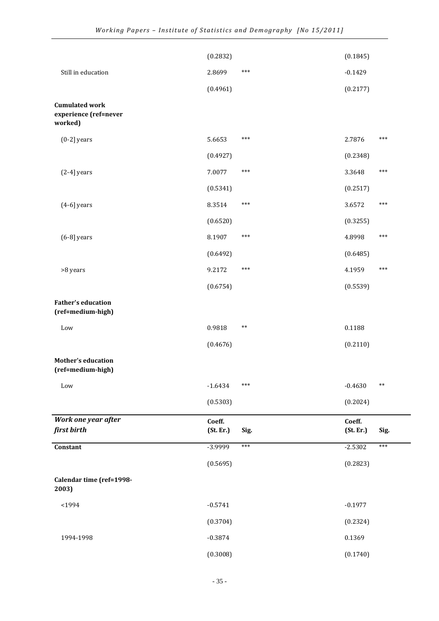|                                                           | (0.2832)            |       | (0.1845)            |       |
|-----------------------------------------------------------|---------------------|-------|---------------------|-------|
| Still in education                                        | 2.8699              | $***$ | $-0.1429$           |       |
|                                                           | (0.4961)            |       | (0.2177)            |       |
| <b>Cumulated work</b><br>experience (ref=never<br>worked) |                     |       |                     |       |
| $(0-2)$ years                                             | 5.6653              | $***$ | 2.7876              | ***   |
|                                                           | (0.4927)            |       | (0.2348)            |       |
| $(2-4)$ years                                             | 7.0077              | $***$ | 3.3648              | $***$ |
|                                                           | (0.5341)            |       | (0.2517)            |       |
| $(4-6)$ years                                             | 8.3514              | $***$ | 3.6572              | ***   |
|                                                           | (0.6520)            |       | (0.3255)            |       |
| $(6-8)$ years                                             | 8.1907              | $***$ | 4.8998              | ***   |
|                                                           | (0.6492)            |       | (0.6485)            |       |
| >8 years                                                  | 9.2172              | $***$ | 4.1959              | ***   |
|                                                           | (0.6754)            |       | (0.5539)            |       |
| <b>Father's education</b><br>(ref=medium-high)            |                     |       |                     |       |
| Low                                                       | 0.9818              | $***$ | 0.1188              |       |
|                                                           | (0.4676)            |       | (0.2110)            |       |
| <b>Mother's education</b><br>(ref=medium-high)            |                     |       |                     |       |
| Low                                                       | $-1.6434$           | $***$ | $-0.4630$           | $***$ |
|                                                           | (0.5303)            |       | (0.2024)            |       |
| Work one year after<br>first birth                        | Coeff.<br>(St. Er.) | Sig.  | Coeff.<br>(St. Er.) | Sig.  |
| Constant                                                  | -3.9999             | $***$ | $-2.5302$           | $***$ |
|                                                           | (0.5695)            |       | (0.2823)            |       |
| Calendar time (ref=1998-<br>2003)                         |                     |       |                     |       |
| $1994$                                                    | $-0.5741$           |       | $-0.1977$           |       |
|                                                           | (0.3704)            |       | (0.2324)            |       |
| 1994-1998                                                 | $-0.3874$           |       | 0.1369              |       |
|                                                           | (0.3008)            |       | (0.1740)            |       |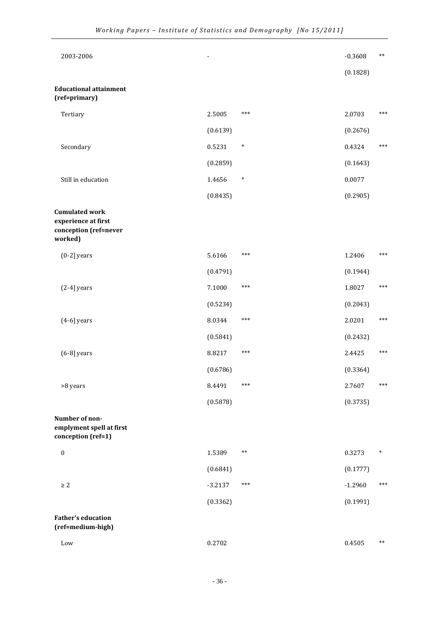| 2003-2006                                                                        |           |        | $-0.3608$ | $***$      |
|----------------------------------------------------------------------------------|-----------|--------|-----------|------------|
|                                                                                  |           |        | (0.1828)  |            |
| <b>Educational attainment</b><br>(ref=primary)                                   |           |        |           |            |
| Tertiary                                                                         | 2.5005    | ***    | 2.0703    | $***$      |
|                                                                                  | (0.6139)  |        | (0.2676)  |            |
| Secondary                                                                        | 0.5231    | $\ast$ | 0.4324    | $***$      |
|                                                                                  | (0.2859)  |        | (0.1643)  |            |
| Still in education                                                               | 1.4656    | $\ast$ | 0.0077    |            |
|                                                                                  | (0.8435)  |        | (0.2905)  |            |
| <b>Cumulated work</b><br>experience at first<br>conception (ref=never<br>worked) |           |        |           |            |
| $(0-2)$ years                                                                    | 5.6166    | ***    | 1.2406    | $***$      |
|                                                                                  | (0.4791)  |        | (0.1944)  |            |
| $(2-4)$ years                                                                    | 7.1000    | ***    | 1.8027    | $***$      |
|                                                                                  | (0.5234)  |        | (0.2043)  |            |
| $(4-6)$ years                                                                    | 8.0344    | ***    | 2.0201    | ***        |
|                                                                                  | (0.5841)  |        | (0.2432)  |            |
| $(6-8)$ years                                                                    | 8.8217    | ***    | 2.4425    | $***$      |
|                                                                                  | (0.6786)  |        | (0.3364)  |            |
| >8 years                                                                         | 8.4491    | ***    | 2.7607    | $***$      |
|                                                                                  | (0.5878)  |        | (0.3735)  |            |
| Number of non-<br>emplyment spell at first<br>conception (ref=1)                 |           |        |           |            |
| $\boldsymbol{0}$                                                                 | 1.5389    | $***$  | 0.3273    | $\ast$     |
|                                                                                  | (0.6841)  |        | (0.1777)  |            |
| $\geq 2$                                                                         | $-3.2137$ | ***    | $-1.2960$ | $***$      |
|                                                                                  | (0.3362)  |        | (0.1991)  |            |
| <b>Father's education</b><br>(ref=medium-high)                                   |           |        |           |            |
| Low                                                                              | 0.2702    |        | 0.4505    | $\ast\ast$ |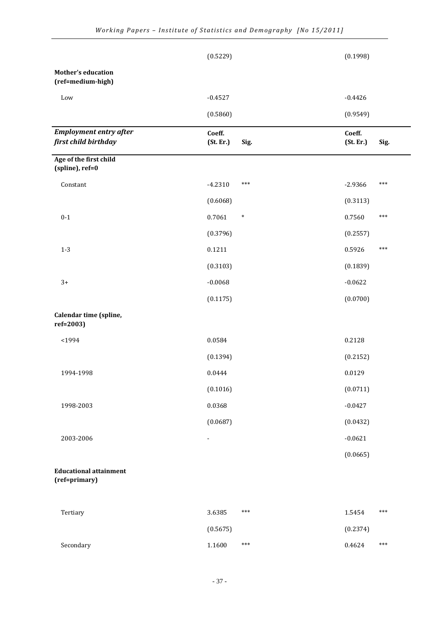|                                                       | (0.5229)                 |      | (0.1998)            |       |
|-------------------------------------------------------|--------------------------|------|---------------------|-------|
| <b>Mother's education</b><br>(ref=medium-high)        |                          |      |                     |       |
| Low                                                   | $-0.4527$                |      | $-0.4426$           |       |
|                                                       | (0.5860)                 |      | (0.9549)            |       |
| <b>Employment entry after</b><br>first child birthday | Coeff.<br>(St. Er.)      | Sig. | Coeff.<br>(St. Er.) | Sig.  |
| Age of the first child<br>(spline), ref=0             |                          |      |                     |       |
| Constant                                              | $-4.2310$<br>***         |      | $-2.9366$           | $***$ |
|                                                       | (0.6068)                 |      | (0.3113)            |       |
| $0 - 1$                                               | 0.7061<br>$\ast$         |      | 0.7560              | ***   |
|                                                       | (0.3796)                 |      | (0.2557)            |       |
| $1-3$                                                 | 0.1211                   |      | 0.5926              | ***   |
|                                                       | (0.3103)                 |      | (0.1839)            |       |
| $3+$                                                  | $-0.0068$                |      | $-0.0622$           |       |
|                                                       | (0.1175)                 |      | (0.0700)            |       |
| Calendar time (spline,<br>ref=2003)                   |                          |      |                     |       |
| $<$ 1994                                              | 0.0584                   |      | 0.2128              |       |
|                                                       | (0.1394)                 |      | (0.2152)            |       |
| 1994-1998                                             | 0.0444                   |      | 0.0129              |       |
|                                                       | (0.1016)                 |      | (0.0711)            |       |
| 1998-2003                                             | 0.0368                   |      | $-0.0427$           |       |
|                                                       | (0.0687)                 |      | (0.0432)            |       |
| 2003-2006                                             | $\overline{\phantom{a}}$ |      | $-0.0621$           |       |
|                                                       |                          |      | (0.0665)            |       |
| <b>Educational attainment</b><br>(ref=primary)        |                          |      |                     |       |
| Tertiary                                              | ***<br>3.6385            |      | 1.5454              | ***   |
|                                                       | (0.5675)                 |      | (0.2374)            |       |
| Secondary                                             | 1.1600<br>***            |      | 0.4624              | ***   |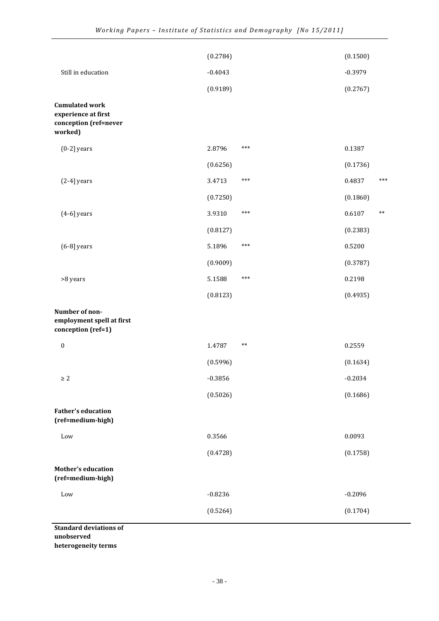|                                                                                  | (0.2784)  |            | (0.1500)  |       |
|----------------------------------------------------------------------------------|-----------|------------|-----------|-------|
| Still in education                                                               | $-0.4043$ |            | $-0.3979$ |       |
|                                                                                  | (0.9189)  |            | (0.2767)  |       |
| <b>Cumulated work</b><br>experience at first<br>conception (ref=never<br>worked) |           |            |           |       |
| $(0-2)$ years                                                                    | 2.8796    | ***        | 0.1387    |       |
|                                                                                  | (0.6256)  |            | (0.1736)  |       |
| $(2-4)$ years                                                                    | 3.4713    | ***        | 0.4837    | $***$ |
|                                                                                  | (0.7250)  |            | (0.1860)  |       |
| $(4-6)$ years                                                                    | 3.9310    | ***        | 0.6107    | $***$ |
|                                                                                  | (0.8127)  |            | (0.2383)  |       |
| $(6-8)$ years                                                                    | 5.1896    | ***        | 0.5200    |       |
|                                                                                  | (0.9009)  |            | (0.3787)  |       |
| >8 years                                                                         | 5.1588    | ***        | 0.2198    |       |
|                                                                                  | (0.8123)  |            | (0.4935)  |       |
| Number of non-<br>employment spell at first<br>conception (ref=1)                |           |            |           |       |
| $\boldsymbol{0}$                                                                 | 1.4787    | $\ast\ast$ | 0.2559    |       |
|                                                                                  | (0.5996)  |            | (0.1634)  |       |
| $\geq 2$                                                                         | $-0.3856$ |            | $-0.2034$ |       |
|                                                                                  | (0.5026)  |            | (0.1686)  |       |
| <b>Father's education</b><br>(ref=medium-high)                                   |           |            |           |       |
| Low                                                                              | 0.3566    |            | 0.0093    |       |
|                                                                                  | (0.4728)  |            | (0.1758)  |       |
| <b>Mother's education</b><br>(ref=medium-high)                                   |           |            |           |       |
| Low                                                                              | $-0.8236$ |            | $-0.2096$ |       |
|                                                                                  | (0.5264)  |            | (0.1704)  |       |
| <b>Standard deviations of</b>                                                    |           |            |           |       |

unobserved

heterogeneity terms